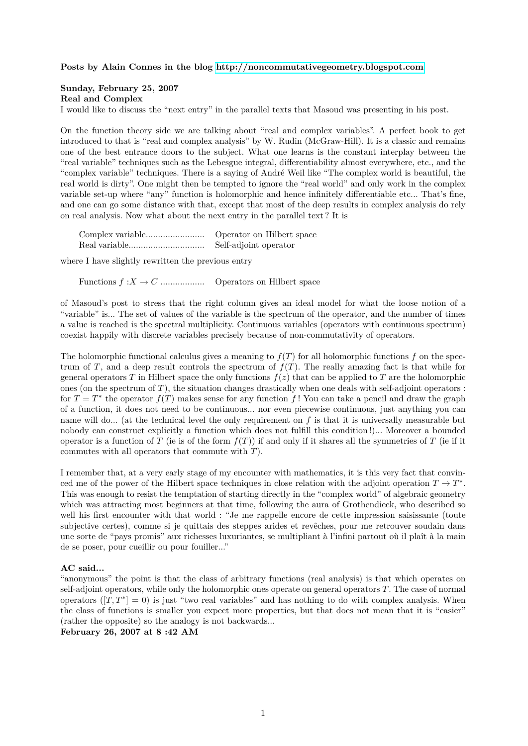#### **Posts by Alain Connes in the blog<http://noncommutativegeometry.blogspot.com>**

#### **Sunday, February 25, 2007 Real and Complex**

I would like to discuss the "next entry" in the parallel texts that Masoud was presenting in his post.

On the function theory side we are talking about "real and complex variables". A perfect book to get introduced to that is "real and complex analysis" by W. Rudin (McGraw-Hill). It is a classic and remains one of the best entrance doors to the subject. What one learns is the constant interplay between the "real variable" techniques such as the Lebesgue integral, differentiability almost everywhere, etc., and the "complex variable" techniques. There is a saying of André Weil like "The complex world is beautiful, the real world is dirty". One might then be tempted to ignore the "real world" and only work in the complex variable set-up where "any" function is holomorphic and hence infinitely differentiable etc... That's fine, and one can go some distance with that, except that most of the deep results in complex analysis do rely on real analysis. Now what about the next entry in the parallel text ? It is

Complex variable........................ Operator on Hilbert space Real variable............................... Self-adjoint operator

where I have slightly rewritten the previous entry

Functions *f* :*X* → *C* .................. Operators on Hilbert space

of Masoud's post to stress that the right column gives an ideal model for what the loose notion of a "variable" is... The set of values of the variable is the spectrum of the operator, and the number of times a value is reached is the spectral multiplicity. Continuous variables (operators with continuous spectrum) coexist happily with discrete variables precisely because of non-commutativity of operators.

The holomorphic functional calculus gives a meaning to  $f(T)$  for all holomorphic functions  $f$  on the spectrum of  $T$ , and a deep result controls the spectrum of  $f(T)$ . The really amazing fact is that while for general operators *T* in Hilbert space the only functions  $f(z)$  that can be applied to *T* are the holomorphic ones (on the spectrum of *T*), the situation changes drastically when one deals with self-adjoint operators : for  $T = T^*$  the operator  $f(T)$  makes sense for any function f! You can take a pencil and draw the graph of a function, it does not need to be continuous... nor even piecewise continuous, just anything you can name will do... (at the technical level the only requirement on *f* is that it is universally measurable but nobody can construct explicitly a function which does not fulfill this condition !)... Moreover a bounded operator is a function of *T* (ie is of the form  $f(T)$ ) if and only if it shares all the symmetries of *T* (ie if it commutes with all operators that commute with *T*).

I remember that, at a very early stage of my encounter with mathematics, it is this very fact that convinced me of the power of the Hilbert space techniques in close relation with the adjoint operation  $T \to T^*$ . This was enough to resist the temptation of starting directly in the "complex world" of algebraic geometry which was attracting most beginners at that time, following the aura of Grothendieck, who described so well his first encounter with that world : "Je me rappelle encore de cette impression saisissante (toute subjective certes), comme si je quittais des steppes arides et revêches, pour me retrouver soudain dans une sorte de "pays promis" aux richesses luxuriantes, se multipliant à l'infini partout où il plaît à la main de se poser, pour cueillir ou pour fouiller..."

#### **AC said...**

"anonymous" the point is that the class of arbitrary functions (real analysis) is that which operates on self-adjoint operators, while only the holomorphic ones operate on general operators *T*. The case of normal operators  $([T, T^*] = 0)$  is just "two real variables" and has nothing to do with complex analysis. When the class of functions is smaller you expect more properties, but that does not mean that it is "easier" (rather the opposite) so the analogy is not backwards...

**February 26, 2007 at 8 :42 AM**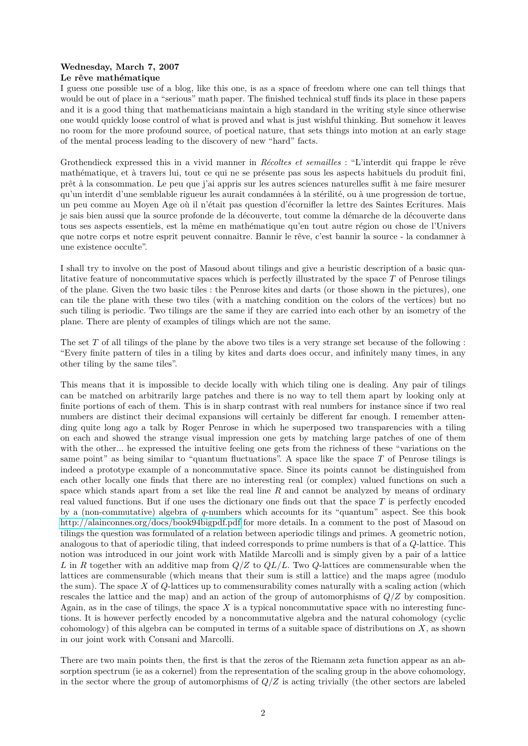# **Wednesday, March 7, 2007 Le rêve mathématique**

I guess one possible use of a blog, like this one, is as a space of freedom where one can tell things that would be out of place in a "serious" math paper. The finished technical stuff finds its place in these papers and it is a good thing that mathematicians maintain a high standard in the writing style since otherwise one would quickly loose control of what is proved and what is just wishful thinking. But somehow it leaves no room for the more profound source, of poetical nature, that sets things into motion at an early stage of the mental process leading to the discovery of new "hard" facts.

Grothendieck expressed this in a vivid manner in *Récoltes et semailles* : "L'interdit qui frappe le rêve mathématique, et à travers lui, tout ce qui ne se présente pas sous les aspects habituels du produit fini, prêt à la consommation. Le peu que j'ai appris sur les autres sciences naturelles suffit à me faire mesurer qu'un interdit d'une semblable rigueur les aurait condamnées à la stérilité, ou à une progression de tortue, un peu comme au Moyen Age où il n'était pas question d'écornifler la lettre des Saintes Ecritures. Mais je sais bien aussi que la source profonde de la découverte, tout comme la démarche de la découverte dans tous ses aspects essentiels, est la même en mathématique qu'en tout autre région ou chose de l'Univers que notre corps et notre esprit peuvent connaitre. Bannir le rêve, c'est bannir la source - la condamner à une existence occulte".

I shall try to involve on the post of Masoud about tilings and give a heuristic description of a basic qualitative feature of noncommutative spaces which is perfectly illustrated by the space *T* of Penrose tilings of the plane. Given the two basic tiles : the Penrose kites and darts (or those shown in the pictures), one can tile the plane with these two tiles (with a matching condition on the colors of the vertices) but no such tiling is periodic. Two tilings are the same if they are carried into each other by an isometry of the plane. There are plenty of examples of tilings which are not the same.

The set *T* of all tilings of the plane by the above two tiles is a very strange set because of the following : "Every finite pattern of tiles in a tiling by kites and darts does occur, and infinitely many times, in any other tiling by the same tiles".

This means that it is impossible to decide locally with which tiling one is dealing. Any pair of tilings can be matched on arbitrarily large patches and there is no way to tell them apart by looking only at finite portions of each of them. This is in sharp contrast with real numbers for instance since if two real numbers are distinct their decimal expansions will certainly be different far enough. I remember attending quite long ago a talk by Roger Penrose in which he superposed two transparencies with a tiling on each and showed the strange visual impression one gets by matching large patches of one of them with the other... he expressed the intuitive feeling one gets from the richness of these "variations on the same point" as being similar to "quantum fluctuations". A space like the space *T* of Penrose tilings is indeed a prototype example of a noncommutative space. Since its points cannot be distinguished from each other locally one finds that there are no interesting real (or complex) valued functions on such a space which stands apart from a set like the real line *R* and cannot be analyzed by means of ordinary real valued functions. But if one uses the dictionary one finds out that the space *T* is perfectly encoded by a (non-commutative) algebra of *q*-numbers which accounts for its "quantum" aspect. See this book <http://alainconnes.org/docs/book94bigpdf.pdf> for more details. In a comment to the post of Masoud on tilings the question was formulated of a relation between aperiodic tilings and primes. A geometric notion, analogous to that of aperiodic tiling, that indeed corresponds to prime numbers is that of a *Q*-lattice. This notion was introduced in our joint work with Matilde Marcolli and is simply given by a pair of a lattice *L* in *R* together with an additive map from *Q/Z* to *QL/L*. Two *Q*-lattices are commensurable when the lattices are commensurable (which means that their sum is still a lattice) and the maps agree (modulo the sum). The space *X* of *Q*-lattices up to commensurability comes naturally with a scaling action (which rescales the lattice and the map) and an action of the group of automorphisms of *Q/Z* by composition. Again, as in the case of tilings, the space *X* is a typical noncommutative space with no interesting functions. It is however perfectly encoded by a noncommutative algebra and the natural cohomology (cyclic cohomology) of this algebra can be computed in terms of a suitable space of distributions on *X*, as shown in our joint work with Consani and Marcolli.

There are two main points then, the first is that the zeros of the Riemann zeta function appear as an absorption spectrum (ie as a cokernel) from the representation of the scaling group in the above cohomology, in the sector where the group of automorphisms of *Q/Z* is acting trivially (the other sectors are labeled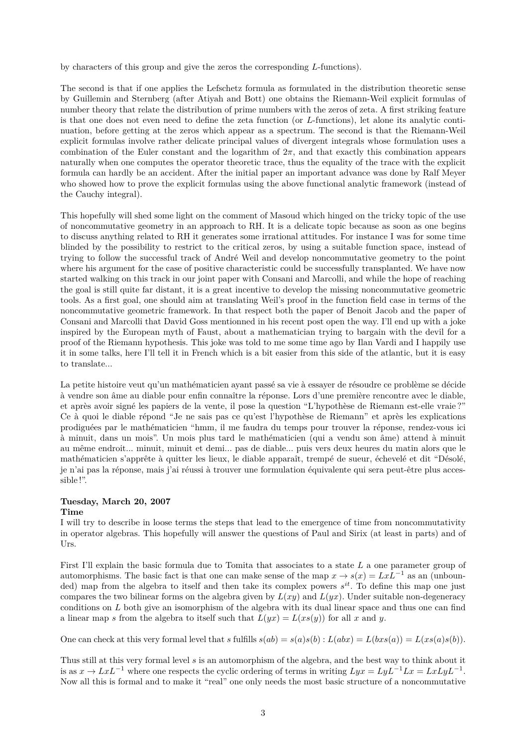by characters of this group and give the zeros the corresponding *L*-functions).

The second is that if one applies the Lefschetz formula as formulated in the distribution theoretic sense by Guillemin and Sternberg (after Atiyah and Bott) one obtains the Riemann-Weil explicit formulas of number theory that relate the distribution of prime numbers with the zeros of zeta. A first striking feature is that one does not even need to define the zeta function (or *L*-functions), let alone its analytic continuation, before getting at the zeros which appear as a spectrum. The second is that the Riemann-Weil explicit formulas involve rather delicate principal values of divergent integrals whose formulation uses a combination of the Euler constant and the logarithm of 2*π*, and that exactly this combination appears naturally when one computes the operator theoretic trace, thus the equality of the trace with the explicit formula can hardly be an accident. After the initial paper an important advance was done by Ralf Meyer who showed how to prove the explicit formulas using the above functional analytic framework (instead of the Cauchy integral).

This hopefully will shed some light on the comment of Masoud which hinged on the tricky topic of the use of noncommutative geometry in an approach to RH. It is a delicate topic because as soon as one begins to discuss anything related to RH it generates some irrational attitudes. For instance I was for some time blinded by the possibility to restrict to the critical zeros, by using a suitable function space, instead of trying to follow the successful track of André Weil and develop noncommutative geometry to the point where his argument for the case of positive characteristic could be successfully transplanted. We have now started walking on this track in our joint paper with Consani and Marcolli, and while the hope of reaching the goal is still quite far distant, it is a great incentive to develop the missing noncommutative geometric tools. As a first goal, one should aim at translating Weil's proof in the function field case in terms of the noncommutative geometric framework. In that respect both the paper of Benoit Jacob and the paper of Consani and Marcolli that David Goss mentionned in his recent post open the way. I'll end up with a joke inspired by the European myth of Faust, about a mathematician trying to bargain with the devil for a proof of the Riemann hypothesis. This joke was told to me some time ago by Ilan Vardi and I happily use it in some talks, here I'll tell it in French which is a bit easier from this side of the atlantic, but it is easy to translate...

La petite histoire veut qu'un mathématicien ayant passé sa vie à essayer de résoudre ce problème se décide à vendre son âme au diable pour enfin connaître la réponse. Lors d'une première rencontre avec le diable, et après avoir signé les papiers de la vente, il pose la question "L'hypothèse de Riemann est-elle vraie ?" Ce à quoi le diable répond "Je ne sais pas ce qu'est l'hypothèse de Riemann" et après les explications prodiguées par le mathématicien "hmm, il me faudra du temps pour trouver la réponse, rendez-vous ici à minuit, dans un mois". Un mois plus tard le mathématicien (qui a vendu son âme) attend à minuit au même endroit... minuit, minuit et demi... pas de diable... puis vers deux heures du matin alors que le mathématicien s'apprête à quitter les lieux, le diable apparaît, trempé de sueur, échevelé et dit "Désolé, je n'ai pas la réponse, mais j'ai réussi à trouver une formulation équivalente qui sera peut-être plus accessible !".

# **Tuesday, March 20, 2007**

#### **Time**

I will try to describe in loose terms the steps that lead to the emergence of time from noncommutativity in operator algebras. This hopefully will answer the questions of Paul and Sirix (at least in parts) and of Urs.

First I'll explain the basic formula due to Tomita that associates to a state *L* a one parameter group of automorphisms. The basic fact is that one can make sense of the map  $x \to s(x) = LxL^{-1}$  as an (unbounded) map from the algebra to itself and then take its complex powers *s it*. To define this map one just compares the two bilinear forms on the algebra given by  $L(xy)$  and  $L(yx)$ . Under suitable non-degeneracy conditions on *L* both give an isomorphism of the algebra with its dual linear space and thus one can find a linear map *s* from the algebra to itself such that  $L(yx) = L(xs(y))$  for all x and y.

One can check at this very formal level that s fulfills  $s(ab) = s(a)s(b)$ :  $L(abx) = L(bxs(a)) = L(xs(a)s(b))$ .

Thus still at this very formal level *s* is an automorphism of the algebra, and the best way to think about it is as  $x \to LxL^{-1}$  where one respects the cyclic ordering of terms in writing  $Lyx = LyL^{-1}Lx = LxLyL^{-1}$ . Now all this is formal and to make it "real" one only needs the most basic structure of a noncommutative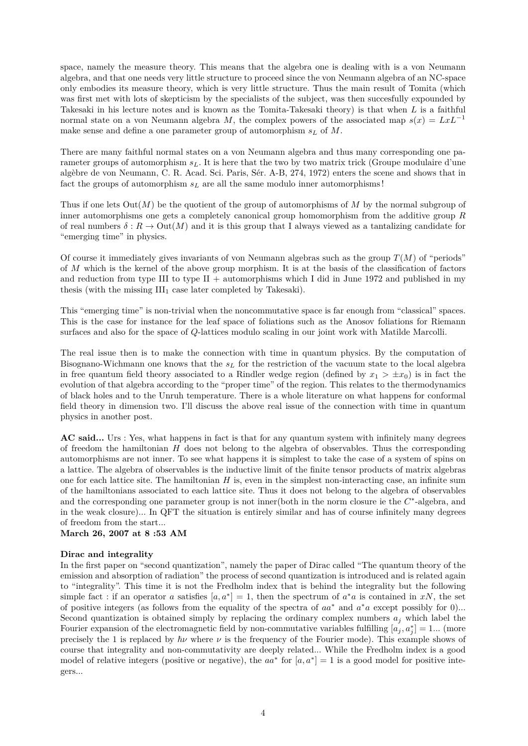space, namely the measure theory. This means that the algebra one is dealing with is a von Neumann algebra, and that one needs very little structure to proceed since the von Neumann algebra of an NC-space only embodies its measure theory, which is very little structure. Thus the main result of Tomita (which was first met with lots of skepticism by the specialists of the subject, was then succesfully expounded by Takesaki in his lecture notes and is known as the Tomita-Takesaki theory) is that when *L* is a faithful normal state on a von Neumann algebra *M*, the complex powers of the associated map  $s(x) = LxL^{-1}$ make sense and define a one parameter group of automorphism *s<sup>L</sup>* of *M*.

There are many faithful normal states on a von Neumann algebra and thus many corresponding one parameter groups of automorphism  $s_L$ . It is here that the two by two matrix trick (Groupe modulaire d'une algèbre de von Neumann, C. R. Acad. Sci. Paris, Sér. A-B, 274, 1972) enters the scene and shows that in fact the groups of automorphism  $s_L$  are all the same modulo inner automorphisms!

Thus if one lets Out(*M*) be the quotient of the group of automorphisms of *M* by the normal subgroup of inner automorphisms one gets a completely canonical group homomorphism from the additive group *R* of real numbers  $\delta : R \to \text{Out}(M)$  and it is this group that I always viewed as a tantalizing candidate for "emerging time" in physics.

Of course it immediately gives invariants of von Neumann algebras such as the group  $T(M)$  of "periods" of *M* which is the kernel of the above group morphism. It is at the basis of the classification of factors and reduction from type III to type  $II$  + automorphisms which I did in June 1972 and published in my thesis (with the missing  $III_1$  case later completed by Takesaki).

This "emerging time" is non-trivial when the noncommutative space is far enough from "classical" spaces. This is the case for instance for the leaf space of foliations such as the Anosov foliations for Riemann surfaces and also for the space of *Q*-lattices modulo scaling in our joint work with Matilde Marcolli.

The real issue then is to make the connection with time in quantum physics. By the computation of Bisognano-Wichmann one knows that the *s<sup>L</sup>* for the restriction of the vacuum state to the local algebra in free quantum field theory associated to a Rindler wedge region (defined by  $x_1 > \pm x_0$ ) is in fact the evolution of that algebra according to the "proper time" of the region. This relates to the thermodynamics of black holes and to the Unruh temperature. There is a whole literature on what happens for conformal field theory in dimension two. I'll discuss the above real issue of the connection with time in quantum physics in another post.

AC said... Urs : Yes, what happens in fact is that for any quantum system with infinitely many degrees of freedom the hamiltonian *H* does not belong to the algebra of observables. Thus the corresponding automorphisms are not inner. To see what happens it is simplest to take the case of a system of spins on a lattice. The algebra of observables is the inductive limit of the finite tensor products of matrix algebras one for each lattice site. The hamiltonian *H* is, even in the simplest non-interacting case, an infinite sum of the hamiltonians associated to each lattice site. Thus it does not belong to the algebra of observables and the corresponding one parameter group is not inner(both in the norm closure ie the *C*<sup>\*</sup>-algebra, and in the weak closure)... In QFT the situation is entirely similar and has of course infinitely many degrees of freedom from the start...

#### **March 26, 2007 at 8 :53 AM**

#### **Dirac and integrality**

In the first paper on "second quantization", namely the paper of Dirac called "The quantum theory of the emission and absorption of radiation" the process of second quantization is introduced and is related again to "integrality". This time it is not the Fredholm index that is behind the integrality but the following simple fact : if an operator *a* satisfies  $[a, a^*] = 1$ , then the spectrum of  $a^*a$  is contained in *xN*, the set of positive integers (as follows from the equality of the spectra of *aa*<sup>∗</sup> and *a* <sup>∗</sup>*a* except possibly for 0)... Second quantization is obtained simply by replacing the ordinary complex numbers  $a_j$  which label the Fourier expansion of the electromagnetic field by non-commutative variables fulfilling  $[a_j, a_j^*] = 1...$  (more precisely the 1 is replaced by  $\hbar \nu$  where  $\nu$  is the frequency of the Fourier mode). This example shows of course that integrality and non-commutativity are deeply related... While the Fredholm index is a good model of relative integers (positive or negative), the  $aa^*$  for  $[a, a^*]=1$  is a good model for positive integers...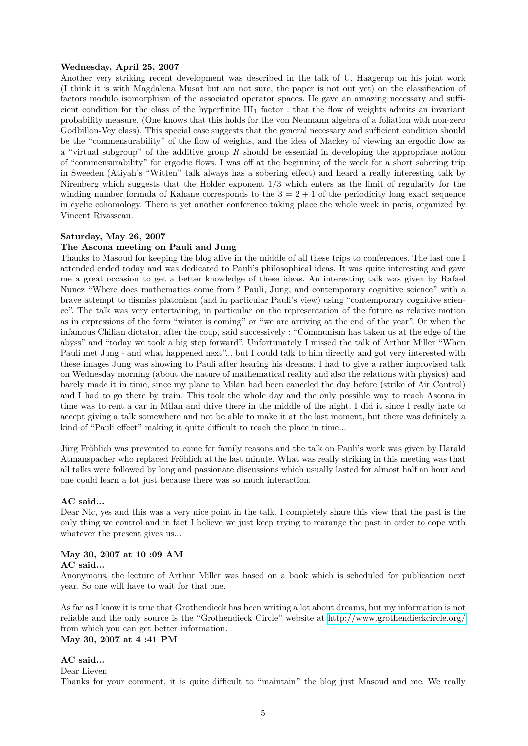#### **Wednesday, April 25, 2007**

Another very striking recent development was described in the talk of U. Haagerup on his joint work (I think it is with Magdalena Musat but am not sure, the paper is not out yet) on the classification of factors modulo isomorphism of the associated operator spaces. He gave an amazing necessary and sufficient condition for the class of the hyperfinite  $III_1$  factor : that the flow of weights admits an invariant probability measure. (One knows that this holds for the von Neumann algebra of a foliation with non-zero Godbillon-Vey class). This special case suggests that the general necessary and sufficient condition should be the "commensurability" of the flow of weights, and the idea of Mackey of viewing an ergodic flow as a "virtual subgroup" of the additive group *R* should be essential in developing the appropriate notion of "commensurability" for ergodic flows. I was off at the beginning of the week for a short sobering trip in Sweeden (Atiyah's "Witten" talk always has a sobering effect) and heard a really interesting talk by Nirenberg which suggests that the Holder exponent 1/3 which enters as the limit of regularity for the winding number formula of Kahane corresponds to the  $3 = 2 + 1$  of the periodicity long exact sequence in cyclic cohomology. There is yet another conference taking place the whole week in paris, organized by Vincent Rivasseau.

## **Saturday, May 26, 2007**

#### **The Ascona meeting on Pauli and Jung**

Thanks to Masoud for keeping the blog alive in the middle of all these trips to conferences. The last one I attended ended today and was dedicated to Pauli's philosophical ideas. It was quite interesting and gave me a great occasion to get a better knowledge of these ideas. An interesting talk was given by Rafael Nunez "Where does mathematics come from ? Pauli, Jung, and contemporary cognitive science" with a brave attempt to dismiss platonism (and in particular Pauli's view) using "contemporary cognitive science". The talk was very entertaining, in particular on the representation of the future as relative motion as in expressions of the form "winter is coming" or "we are arriving at the end of the year". Or when the infamous Chilian dictator, after the coup, said successively : "Communism has taken us at the edge of the abyss" and "today we took a big step forward". Unfortunately I missed the talk of Arthur Miller "When Pauli met Jung - and what happened next"... but I could talk to him directly and got very interested with these images Jung was showing to Pauli after hearing his dreams. I had to give a rather improvised talk on Wednesday morning (about the nature of mathematical reality and also the relations with physics) and barely made it in time, since my plane to Milan had been canceled the day before (strike of Air Control) and I had to go there by train. This took the whole day and the only possible way to reach Ascona in time was to rent a car in Milan and drive there in the middle of the night. I did it since I really hate to accept giving a talk somewhere and not be able to make it at the last moment, but there was definitely a kind of "Pauli effect" making it quite difficult to reach the place in time...

Jürg Fröhlich was prevented to come for family reasons and the talk on Pauli's work was given by Harald Atmanspacher who replaced Fröhlich at the last minute. What was really striking in this meeting was that all talks were followed by long and passionate discussions which usually lasted for almost half an hour and one could learn a lot just because there was so much interaction.

#### **AC said...**

Dear Nic, yes and this was a very nice point in the talk. I completely share this view that the past is the only thing we control and in fact I believe we just keep trying to rearange the past in order to cope with whatever the present gives us...

## **May 30, 2007 at 10 :09 AM**

#### **AC said...**

Anonymous, the lecture of Arthur Miller was based on a book which is scheduled for publication next year. So one will have to wait for that one.

As far as I know it is true that Grothendieck has been writing a lot about dreams, but my information is not reliable and the only source is the "Grothendieck Circle" website at<http://www.grothendieckcircle.org/> from which you can get better information. **May 30, 2007 at 4 :41 PM**

#### **AC said...**

#### Dear Lieven

Thanks for your comment, it is quite difficult to "maintain" the blog just Masoud and me. We really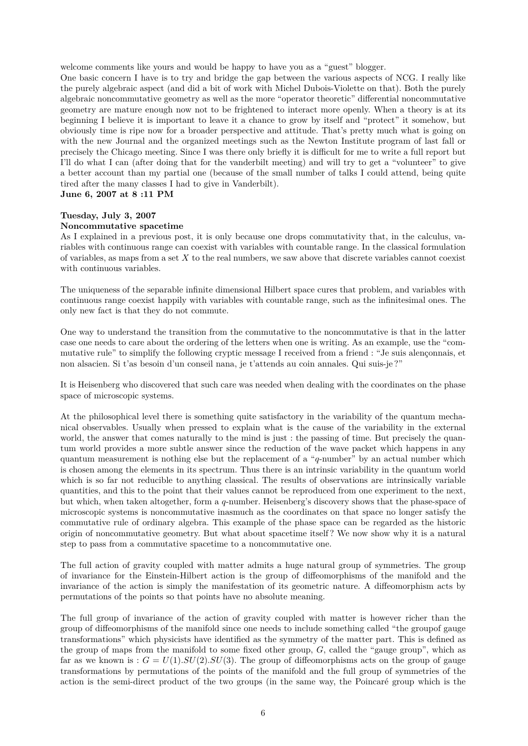welcome comments like yours and would be happy to have you as a "guest" blogger.

One basic concern I have is to try and bridge the gap between the various aspects of NCG. I really like the purely algebraic aspect (and did a bit of work with Michel Dubois-Violette on that). Both the purely algebraic noncommutative geometry as well as the more "operator theoretic" differential noncommutative geometry are mature enough now not to be frightened to interact more openly. When a theory is at its beginning I believe it is important to leave it a chance to grow by itself and "protect" it somehow, but obviously time is ripe now for a broader perspective and attitude. That's pretty much what is going on with the new Journal and the organized meetings such as the Newton Institute program of last fall or precisely the Chicago meeting. Since I was there only briefly it is difficult for me to write a full report but I'll do what I can (after doing that for the vanderbilt meeting) and will try to get a "volunteer" to give a better account than my partial one (because of the small number of talks I could attend, being quite tired after the many classes I had to give in Vanderbilt).

**June 6, 2007 at 8 :11 PM**

#### **Tuesday, July 3, 2007**

#### **Noncommutative spacetime**

As I explained in a previous post, it is only because one drops commutativity that, in the calculus, variables with continuous range can coexist with variables with countable range. In the classical formulation of variables, as maps from a set *X* to the real numbers, we saw above that discrete variables cannot coexist with continuous variables.

The uniqueness of the separable infinite dimensional Hilbert space cures that problem, and variables with continuous range coexist happily with variables with countable range, such as the infinitesimal ones. The only new fact is that they do not commute.

One way to understand the transition from the commutative to the noncommutative is that in the latter case one needs to care about the ordering of the letters when one is writing. As an example, use the "commutative rule" to simplify the following cryptic message I received from a friend : "Je suis alençonnais, et non alsacien. Si t'as besoin d'un conseil nana, je t'attends au coin annales. Qui suis-je ?"

It is Heisenberg who discovered that such care was needed when dealing with the coordinates on the phase space of microscopic systems.

At the philosophical level there is something quite satisfactory in the variability of the quantum mechanical observables. Usually when pressed to explain what is the cause of the variability in the external world, the answer that comes naturally to the mind is just : the passing of time. But precisely the quantum world provides a more subtle answer since the reduction of the wave packet which happens in any quantum measurement is nothing else but the replacement of a "*q*-number" by an actual number which is chosen among the elements in its spectrum. Thus there is an intrinsic variability in the quantum world which is so far not reducible to anything classical. The results of observations are intrinsically variable quantities, and this to the point that their values cannot be reproduced from one experiment to the next, but which, when taken altogether, form a *q*-number. Heisenberg's discovery shows that the phase-space of microscopic systems is noncommutative inasmuch as the coordinates on that space no longer satisfy the commutative rule of ordinary algebra. This example of the phase space can be regarded as the historic origin of noncommutative geometry. But what about spacetime itself ? We now show why it is a natural step to pass from a commutative spacetime to a noncommutative one.

The full action of gravity coupled with matter admits a huge natural group of symmetries. The group of invariance for the Einstein-Hilbert action is the group of diffeomorphisms of the manifold and the invariance of the action is simply the manifestation of its geometric nature. A diffeomorphism acts by permutations of the points so that points have no absolute meaning.

The full group of invariance of the action of gravity coupled with matter is however richer than the group of diffeomorphisms of the manifold since one needs to include something called "the groupof gauge transformations" which physicists have identified as the symmetry of the matter part. This is defined as the group of maps from the manifold to some fixed other group, *G*, called the "gauge group", which as far as we known is :  $G = U(1) . SU(2) . SU(3)$ . The group of diffeomorphisms acts on the group of gauge transformations by permutations of the points of the manifold and the full group of symmetries of the action is the semi-direct product of the two groups (in the same way, the Poincaré group which is the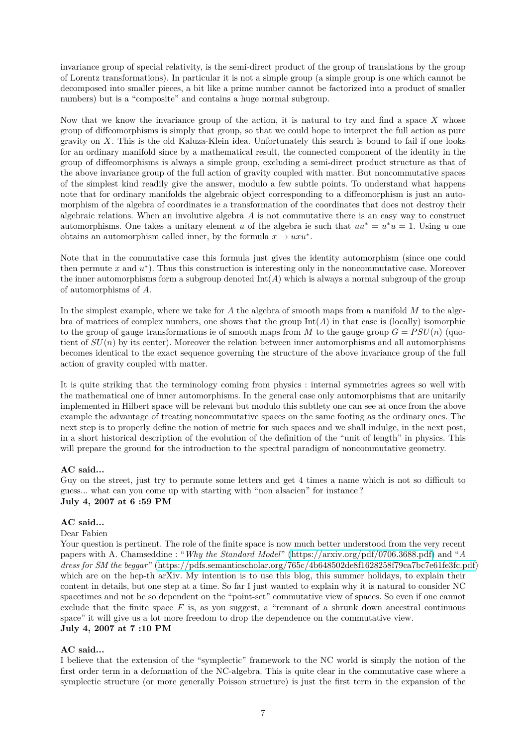invariance group of special relativity, is the semi-direct product of the group of translations by the group of Lorentz transformations). In particular it is not a simple group (a simple group is one which cannot be decomposed into smaller pieces, a bit like a prime number cannot be factorized into a product of smaller numbers) but is a "composite" and contains a huge normal subgroup.

Now that we know the invariance group of the action, it is natural to try and find a space *X* whose group of diffeomorphisms is simply that group, so that we could hope to interpret the full action as pure gravity on *X*. This is the old Kaluza-Klein idea. Unfortunately this search is bound to fail if one looks for an ordinary manifold since by a mathematical result, the connected component of the identity in the group of diffeomorphisms is always a simple group, excluding a semi-direct product structure as that of the above invariance group of the full action of gravity coupled with matter. But noncommutative spaces of the simplest kind readily give the answer, modulo a few subtle points. To understand what happens note that for ordinary manifolds the algebraic object corresponding to a diffeomorphism is just an automorphism of the algebra of coordinates ie a transformation of the coordinates that does not destroy their algebraic relations. When an involutive algebra *A* is not commutative there is an easy way to construct automorphisms. One takes a unitary element *u* of the algebra ie such that  $uu^* = u^*u = 1$ . Using *u* one obtains an automorphism called inner, by the formula  $x \to uxu^*$ .

Note that in the commutative case this formula just gives the identity automorphism (since one could then permute  $x$  and  $u^*$ ). Thus this construction is interesting only in the noncommutative case. Moreover the inner automorphisms form a subgroup denoted  $\text{Int}(A)$  which is always a normal subgroup of the group of automorphisms of *A*.

In the simplest example, where we take for *A* the algebra of smooth maps from a manifold *M* to the algebra of matrices of complex numbers, one shows that the group  $\text{Int}(A)$  in that case is (locally) isomorphic to the group of gauge transformations ie of smooth maps from *M* to the gauge group  $G = PSU(n)$  (quotient of  $SU(n)$  by its center). Moreover the relation between inner automorphisms and all automorphisms becomes identical to the exact sequence governing the structure of the above invariance group of the full action of gravity coupled with matter.

It is quite striking that the terminology coming from physics : internal symmetries agrees so well with the mathematical one of inner automorphisms. In the general case only automorphisms that are unitarily implemented in Hilbert space will be relevant but modulo this subtlety one can see at once from the above example the advantage of treating noncommutative spaces on the same footing as the ordinary ones. The next step is to properly define the notion of metric for such spaces and we shall indulge, in the next post, in a short historical description of the evolution of the definition of the "unit of length" in physics. This will prepare the ground for the introduction to the spectral paradigm of noncommutative geometry.

#### **AC said...**

Guy on the street, just try to permute some letters and get 4 times a name which is not so difficult to guess... what can you come up with starting with "non alsacien" for instance ? **July 4, 2007 at 6 :59 PM**

# **AC said...**

#### Dear Fabien

Your question is pertinent. The role of the finite space is now much better understood from the very recent papers with A. Chamseddine : "*Why the Standard Model*" [\(https://arxiv.org/pdf/0706.3688.pdf\)](https://arxiv.org/pdf/0706.3688.pdf) and "*A dress for SM the beggar*" [\(https://pdfs.semanticscholar.org/765c/4b648502de8f1628258f79ca7bc7e61fe3fc.pdf\)](https://pdfs.semanticscholar.org/765c/4b648502de8f1628258f79ca7bc7e61fe3fc.pdf) which are on the hep-th arXiv. My intention is to use this blog, this summer holidays, to explain their content in details, but one step at a time. So far I just wanted to explain why it is natural to consider NC spacetimes and not be so dependent on the "point-set" commutative view of spaces. So even if one cannot exclude that the finite space  $F$  is, as you suggest, a "remnant of a shrunk down ancestral continuous space" it will give us a lot more freedom to drop the dependence on the commutative view. **July 4, 2007 at 7 :10 PM**

# **AC said...**

I believe that the extension of the "symplectic" framework to the NC world is simply the notion of the first order term in a deformation of the NC-algebra. This is quite clear in the commutative case where a symplectic structure (or more generally Poisson structure) is just the first term in the expansion of the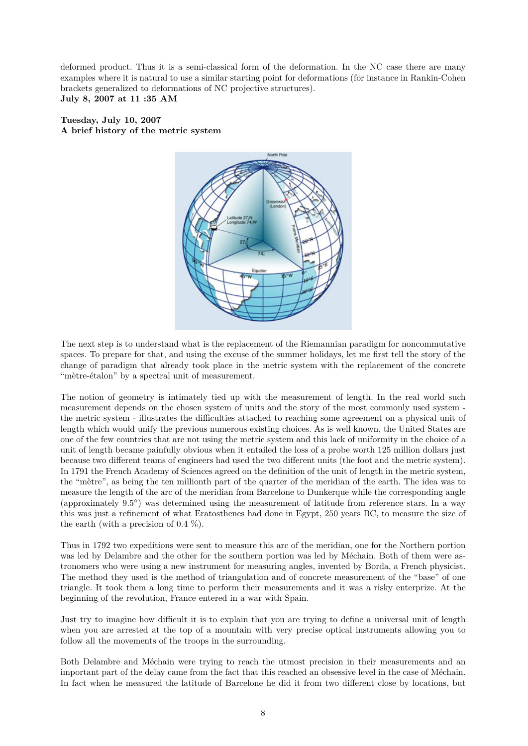deformed product. Thus it is a semi-classical form of the deformation. In the NC case there are many examples where it is natural to use a similar starting point for deformations (for instance in Rankin-Cohen brackets generalized to deformations of NC projective structures). **July 8, 2007 at 11 :35 AM**

**Tuesday, July 10, 2007 A brief history of the metric system**



The next step is to understand what is the replacement of the Riemannian paradigm for noncommutative spaces. To prepare for that, and using the excuse of the summer holidays, let me first tell the story of the change of paradigm that already took place in the metric system with the replacement of the concrete "mètre-étalon" by a spectral unit of measurement.

The notion of geometry is intimately tied up with the measurement of length. In the real world such measurement depends on the chosen system of units and the story of the most commonly used system the metric system - illustrates the difficulties attached to reaching some agreement on a physical unit of length which would unify the previous numerous existing choices. As is well known, the United States are one of the few countries that are not using the metric system and this lack of uniformity in the choice of a unit of length became painfully obvious when it entailed the loss of a probe worth 125 million dollars just because two different teams of engineers had used the two different units (the foot and the metric system). In 1791 the French Academy of Sciences agreed on the definition of the unit of length in the metric system, the "mètre", as being the ten millionth part of the quarter of the meridian of the earth. The idea was to measure the length of the arc of the meridian from Barcelone to Dunkerque while the corresponding angle (approximately 9.5◦ ) was determined using the measurement of latitude from reference stars. In a way this was just a refinement of what Eratosthenes had done in Egypt, 250 years BC, to measure the size of the earth (with a precision of 0.4  $\%$ ).

Thus in 1792 two expeditions were sent to measure this arc of the meridian, one for the Northern portion was led by Delambre and the other for the southern portion was led by Méchain. Both of them were astronomers who were using a new instrument for measuring angles, invented by Borda, a French physicist. The method they used is the method of triangulation and of concrete measurement of the "base" of one triangle. It took them a long time to perform their measurements and it was a risky enterprize. At the beginning of the revolution, France entered in a war with Spain.

Just try to imagine how difficult it is to explain that you are trying to define a universal unit of length when you are arrested at the top of a mountain with very precise optical instruments allowing you to follow all the movements of the troops in the surrounding.

Both Delambre and Méchain were trying to reach the utmost precision in their measurements and an important part of the delay came from the fact that this reached an obsessive level in the case of Méchain. In fact when he measured the latitude of Barcelone he did it from two different close by locations, but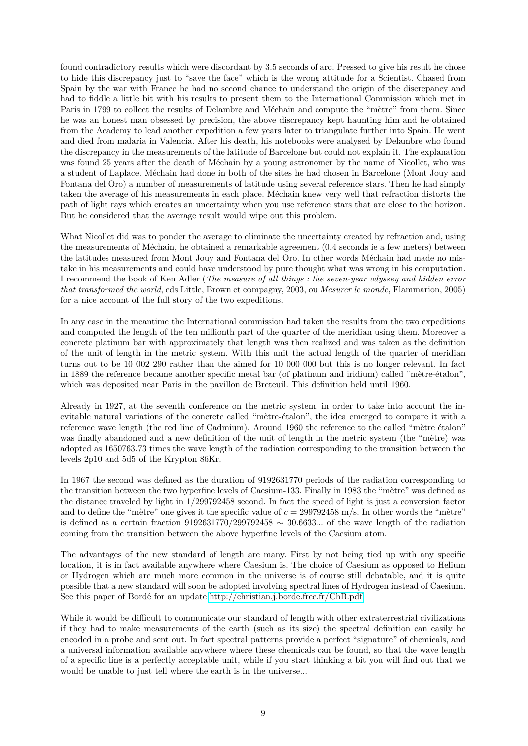found contradictory results which were discordant by 3.5 seconds of arc. Pressed to give his result he chose to hide this discrepancy just to "save the face" which is the wrong attitude for a Scientist. Chased from Spain by the war with France he had no second chance to understand the origin of the discrepancy and had to fiddle a little bit with his results to present them to the International Commission which met in Paris in 1799 to collect the results of Delambre and Méchain and compute the "mètre" from them. Since he was an honest man obsessed by precision, the above discrepancy kept haunting him and he obtained from the Academy to lead another expedition a few years later to triangulate further into Spain. He went and died from malaria in Valencia. After his death, his notebooks were analysed by Delambre who found the discrepancy in the measurements of the latitude of Barcelone but could not explain it. The explanation was found 25 years after the death of Méchain by a young astronomer by the name of Nicollet, who was a student of Laplace. Méchain had done in both of the sites he had chosen in Barcelone (Mont Jouy and Fontana del Oro) a number of measurements of latitude using several reference stars. Then he had simply taken the average of his measurements in each place. Méchain knew very well that refraction distorts the path of light rays which creates an uncertainty when you use reference stars that are close to the horizon. But he considered that the average result would wipe out this problem.

What Nicollet did was to ponder the average to eliminate the uncertainty created by refraction and, using the measurements of Méchain, he obtained a remarkable agreement (0.4 seconds ie a few meters) between the latitudes measured from Mont Jouy and Fontana del Oro. In other words Méchain had made no mistake in his measurements and could have understood by pure thought what was wrong in his computation. I recommend the book of Ken Adler (*The measure of all things : the seven-year odyssey and hidden error that transformed the world*, eds Little, Brown et compagny, 2003, ou *Mesurer le monde*, Flammarion, 2005) for a nice account of the full story of the two expeditions.

In any case in the meantime the International commission had taken the results from the two expeditions and computed the length of the ten millionth part of the quarter of the meridian using them. Moreover a concrete platinum bar with approximately that length was then realized and was taken as the definition of the unit of length in the metric system. With this unit the actual length of the quarter of meridian turns out to be 10 002 290 rather than the aimed for 10 000 000 but this is no longer relevant. In fact in 1889 the reference became another specific metal bar (of platinum and iridium) called "mètre-étalon", which was deposited near Paris in the pavillon de Breteuil. This definition held until 1960.

Already in 1927, at the seventh conference on the metric system, in order to take into account the inevitable natural variations of the concrete called "mètre-étalon", the idea emerged to compare it with a reference wave length (the red line of Cadmium). Around 1960 the reference to the called "mètre étalon" was finally abandoned and a new definition of the unit of length in the metric system (the "mètre) was adopted as 1650763.73 times the wave length of the radiation corresponding to the transition between the levels 2p10 and 5d5 of the Krypton 86Kr.

In 1967 the second was defined as the duration of 9192631770 periods of the radiation corresponding to the transition between the two hyperfine levels of Caesium-133. Finally in 1983 the "mètre" was defined as the distance traveled by light in 1/299792458 second. In fact the speed of light is just a conversion factor and to define the "mètre" one gives it the specific value of *c* = 299792458 m*/*s. In other words the "mètre" is defined as a certain fraction 9192631770*/*299792458 ∼ 30*.*6633*...* of the wave length of the radiation coming from the transition between the above hyperfine levels of the Caesium atom.

The advantages of the new standard of length are many. First by not being tied up with any specific location, it is in fact available anywhere where Caesium is. The choice of Caesium as opposed to Helium or Hydrogen which are much more common in the universe is of course still debatable, and it is quite possible that a new standard will soon be adopted involving spectral lines of Hydrogen instead of Caesium. See this paper of Bordé for an update [http://christian.j.borde.free.fr/ChB.pdf.](http://christian.j.borde.free.fr/ChB.pdf)

While it would be difficult to communicate our standard of length with other extraterrestrial civilizations if they had to make measurements of the earth (such as its size) the spectral definition can easily be encoded in a probe and sent out. In fact spectral patterns provide a perfect "signature" of chemicals, and a universal information available anywhere where these chemicals can be found, so that the wave length of a specific line is a perfectly acceptable unit, while if you start thinking a bit you will find out that we would be unable to just tell where the earth is in the universe...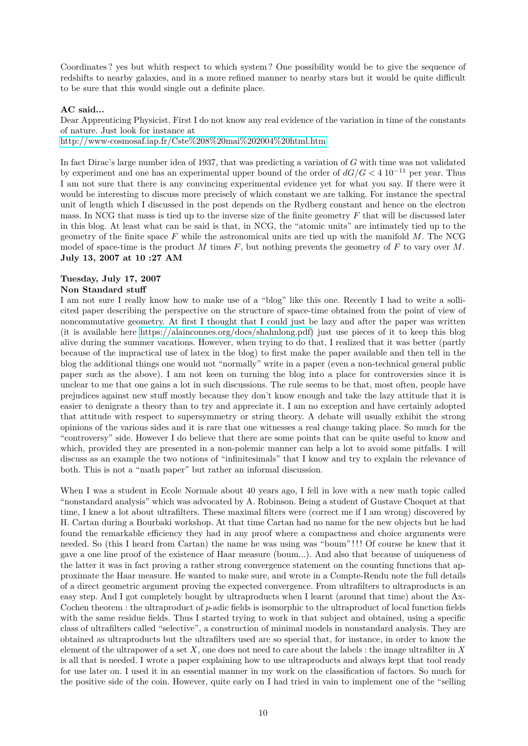Coordinates ? yes but whith respect to which system ? One possibility would be to give the sequence of redshifts to nearby galaxies, and in a more refined manner to nearby stars but it would be quite difficult to be sure that this would single out a definite place.

## **AC said...**

Dear Apprenticing Physicist. First I do not know any real evidence of the variation in time of the constants of nature. Just look for instance at

<http://www-cosmosaf.iap.fr/Cste%208%20mai%202004%20html.htm>

In fact Dirac's large number idea of 1937, that was predicting a variation of *G* with time was not validated by experiment and one has an experimental upper bound of the order of *dG/G <* 4 10−<sup>11</sup> per year. Thus I am not sure that there is any convincing experimental evidence yet for what you say. If there were it would be interesting to discuss more precisely of which constant we are talking. For instance the spectral unit of length which I discussed in the post depends on the Rydberg constant and hence on the electron mass. In NCG that mass is tied up to the inverse size of the finite geometry *F* that will be discussed later in this blog. At least what can be said is that, in NCG, the "atomic units" are intimately tied up to the geometry of the finite space *F* while the astronomical units are tied up with the manifold *M*. The NCG model of space-time is the product *M* times *F*, but nothing prevents the geometry of *F* to vary over *M*. **July 13, 2007 at 10 :27 AM**

# **Tuesday, July 17, 2007**

# **Non Standard stuff**

I am not sure I really know how to make use of a "blog" like this one. Recently I had to write a sollicited paper describing the perspective on the structure of space-time obtained from the point of view of noncommutative geometry. At first I thought that I could just be lazy and after the paper was written (it is available here [https://alainconnes.org/docs/shahnlong.pdf\)](https://alainconnes.org/docs/shahnlong.pdf) just use pieces of it to keep this blog alive during the summer vacations. However, when trying to do that, I realized that it was better (partly because of the impractical use of latex in the blog) to first make the paper available and then tell in the blog the additional things one would not "normally" write in a paper (even a non-technical general public paper such as the above). I am not keen on turning the blog into a place for controversies since it is unclear to me that one gains a lot in such discussions. The rule seems to be that, most often, people have prejudices against new stuff mostly because they don't know enough and take the lazy attitude that it is easier to denigrate a theory than to try and appreciate it. I am no exception and have certainly adopted that attitude with respect to supersymmetry or string theory. A debate will usually exhibit the strong opinions of the various sides and it is rare that one witnesses a real change taking place. So much for the "controversy" side. However I do believe that there are some points that can be quite useful to know and which, provided they are presented in a non-polemic manner can help a lot to avoid some pitfalls. I will discuss as an example the two notions of "infinitesimals" that I know and try to explain the relevance of both. This is not a "math paper" but rather an informal discussion.

When I was a student in Ecole Normale about 40 years ago, I fell in love with a new math topic called "nonstandard analysis" which was advocated by A. Robinson. Being a student of Gustave Choquet at that time, I knew a lot about ultrafilters. These maximal filters were (correct me if I am wrong) discovered by H. Cartan during a Bourbaki workshop. At that time Cartan had no name for the new objects but he had found the remarkable efficiency they had in any proof where a compactness and choice arguments were needed. So (this I heard from Cartan) the name he was using was "boum" ! ! ! Of course he knew that it gave a one line proof of the existence of Haar measure (boum...). And also that because of uniqueness of the latter it was in fact proving a rather strong convergence statement on the counting functions that approximate the Haar measure. He wanted to make sure, and wrote in a Compte-Rendu note the full details of a direct geometric argument proving the expected convergence. From ultrafilters to ultraproducts is an easy step. And I got completely bought by ultraproducts when I learnt (around that time) about the Ax-Cochen theorem : the ultraproduct of *p*-adic fields is isomorphic to the ultraproduct of local function fields with the same residue fields. Thus I started trying to work in that subject and obtained, using a specific class of ultrafilters called "selective", a construction of minimal models in nonstandard analysis. They are obtained as ultraproducts but the ultrafilters used are so special that, for instance, in order to know the element of the ultrapower of a set *X*, one does not need to care about the labels : the image ultrafilter in *X* is all that is needed. I wrote a paper explaining how to use ultraproducts and always kept that tool ready for use later on. I used it in an essential manner in my work on the classification of factors. So much for the positive side of the coin. However, quite early on I had tried in vain to implement one of the "selling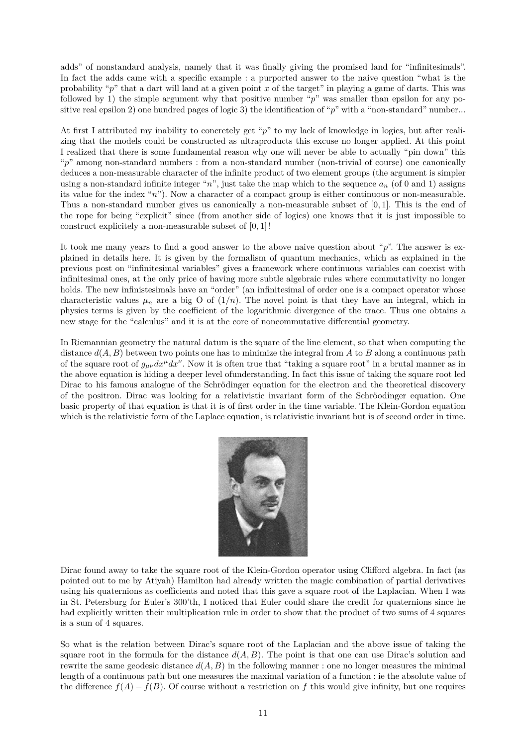adds" of nonstandard analysis, namely that it was finally giving the promised land for "infinitesimals". In fact the adds came with a specific example : a purported answer to the naive question "what is the probability "*p*" that a dart will land at a given point *x* of the target" in playing a game of darts. This was followed by 1) the simple argument why that positive number "*p*" was smaller than epsilon for any positive real epsilon 2) one hundred pages of logic 3) the identification of "*p*" with a "non-standard" number...

At first I attributed my inability to concretely get "*p*" to my lack of knowledge in logics, but after realizing that the models could be constructed as ultraproducts this excuse no longer applied. At this point I realized that there is some fundamental reason why one will never be able to actually "pin down" this "*p*" among non-standard numbers : from a non-standard number (non-trivial of course) one canonically deduces a non-measurable character of the infinite product of two element groups (the argument is simpler using a non-standard infinite integer "*n*", just take the map which to the sequence *a<sup>n</sup>* (of 0 and 1) assigns its value for the index "*n*"). Now a character of a compact group is either continuous or non-measurable. Thus a non-standard number gives us canonically a non-measurable subset of [0*,* 1]. This is the end of the rope for being "explicit" since (from another side of logics) one knows that it is just impossible to construct explicitely a non-measurable subset of [0*,* 1] !

It took me many years to find a good answer to the above naive question about "*p*". The answer is explained in details here. It is given by the formalism of quantum mechanics, which as explained in the previous post on "infinitesimal variables" gives a framework where continuous variables can coexist with infinitesimal ones, at the only price of having more subtle algebraic rules where commutativity no longer holds. The new infinistesimals have an "order" (an infinitesimal of order one is a compact operator whose characteristic values  $\mu_n$  are a big O of  $(1/n)$ . The novel point is that they have an integral, which in physics terms is given by the coefficient of the logarithmic divergence of the trace. Thus one obtains a new stage for the "calculus" and it is at the core of noncommutative differential geometry.

In Riemannian geometry the natural datum is the square of the line element, so that when computing the distance  $d(A, B)$  between two points one has to minimize the integral from  $A$  to  $B$  along a continuous path of the square root of  $g_{\mu\nu}dx^{\mu}dx^{\nu}$ . Now it is often true that "taking a square root" in a brutal manner as in the above equation is hiding a deeper level ofunderstanding. In fact this issue of taking the square root led Dirac to his famous analogue of the Schrödinger equation for the electron and the theoretical discovery of the positron. Dirac was looking for a relativistic invariant form of the Schröodinger equation. One basic property of that equation is that it is of first order in the time variable. The Klein-Gordon equation which is the relativistic form of the Laplace equation, is relativistic invariant but is of second order in time.



Dirac found away to take the square root of the Klein-Gordon operator using Clifford algebra. In fact (as pointed out to me by Atiyah) Hamilton had already written the magic combination of partial derivatives using his quaternions as coefficients and noted that this gave a square root of the Laplacian. When I was in St. Petersburg for Euler's 300'th, I noticed that Euler could share the credit for quaternions since he had explicitly written their multiplication rule in order to show that the product of two sums of 4 squares is a sum of 4 squares.

So what is the relation between Dirac's square root of the Laplacian and the above issue of taking the square root in the formula for the distance  $d(A, B)$ . The point is that one can use Dirac's solution and rewrite the same geodesic distance  $d(A, B)$  in the following manner : one no longer measures the minimal length of a continuous path but one measures the maximal variation of a function : ie the absolute value of the difference  $f(A) - f(B)$ . Of course without a restriction on f this would give infinity, but one requires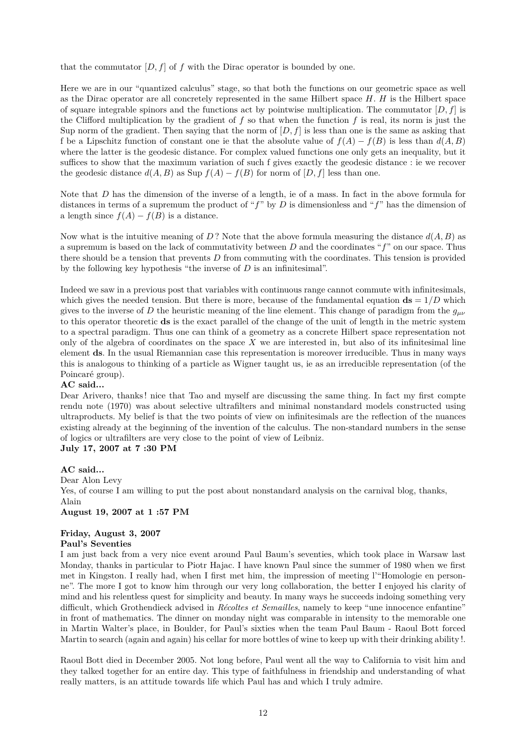that the commutator  $[D, f]$  of  $f$  with the Dirac operator is bounded by one.

Here we are in our "quantized calculus" stage, so that both the functions on our geometric space as well as the Dirac operator are all concretely represented in the same Hilbert space *H*. *H* is the Hilbert space of square integrable spinors and the functions act by pointwise multiplication. The commutator  $[D, f]$  is the Clifford multiplication by the gradient of *f* so that when the function *f* is real, its norm is just the Sup norm of the gradient. Then saying that the norm of  $[D, f]$  is less than one is the same as asking that f be a Lipschitz function of constant one ie that the absolute value of  $f(A) - f(B)$  is less than  $d(A, B)$ where the latter is the geodesic distance. For complex valued functions one only gets an inequality, but it suffices to show that the maximum variation of such f gives exactly the geodesic distance : ie we recover the geodesic distance  $d(A, B)$  as Sup  $f(A) - f(B)$  for norm of [*D, f*] less than one.

Note that *D* has the dimension of the inverse of a length, ie of a mass. In fact in the above formula for distances in terms of a supremum the product of "*f*" by *D* is dimensionless and "*f*" has the dimension of a length since  $f(A) - f(B)$  is a distance.

Now what is the intuitive meaning of  $D$  ? Note that the above formula measuring the distance  $d(A, B)$  as a supremum is based on the lack of commutativity between *D* and the coordinates "*f*" on our space. Thus there should be a tension that prevents *D* from commuting with the coordinates. This tension is provided by the following key hypothesis "the inverse of *D* is an infinitesimal".

Indeed we saw in a previous post that variables with continuous range cannot commute with infinitesimals, which gives the needed tension. But there is more, because of the fundamental equation  $\mathbf{ds} = 1/D$  which gives to the inverse of *D* the heuristic meaning of the line element. This change of paradigm from the  $q_{\mu\nu}$ to this operator theoretic **ds** is the exact parallel of the change of the unit of length in the metric system to a spectral paradigm. Thus one can think of a geometry as a concrete Hilbert space representation not only of the algebra of coordinates on the space *X* we are interested in, but also of its infinitesimal line element **ds**. In the usual Riemannian case this representation is moreover irreducible. Thus in many ways this is analogous to thinking of a particle as Wigner taught us, ie as an irreducible representation (of the Poincaré group).

#### **AC said...**

Dear Arivero, thanks! nice that Tao and myself are discussing the same thing. In fact my first compte rendu note (1970) was about selective ultrafilters and minimal nonstandard models constructed using ultraproducts. My belief is that the two points of view on infinitesimals are the reflection of the nuances existing already at the beginning of the invention of the calculus. The non-standard numbers in the sense of logics or ultrafilters are very close to the point of view of Leibniz.

## **July 17, 2007 at 7 :30 PM**

**AC said...** Dear Alon Levy Yes, of course I am willing to put the post about nonstandard analysis on the carnival blog, thanks, Alain **August 19, 2007 at 1 :57 PM**

# **Friday, August 3, 2007**

#### **Paul's Seventies**

I am just back from a very nice event around Paul Baum's seventies, which took place in Warsaw last Monday, thanks in particular to Piotr Hajac. I have known Paul since the summer of 1980 when we first met in Kingston. I really had, when I first met him, the impression of meeting l'"Homologie en personne". The more I got to know him through our very long collaboration, the better I enjoyed his clarity of mind and his relentless quest for simplicity and beauty. In many ways he succeeds indoing something very difficult, which Grothendieck advised in *Récoltes et Semailles*, namely to keep "une innocence enfantine" in front of mathematics. The dinner on monday night was comparable in intensity to the memorable one in Martin Walter's place, in Boulder, for Paul's sixties when the team Paul Baum - Raoul Bott forced Martin to search (again and again) his cellar for more bottles of wine to keep up with their drinking ability !.

Raoul Bott died in December 2005. Not long before, Paul went all the way to California to visit him and they talked together for an entire day. This type of faithfulness in friendship and understanding of what really matters, is an attitude towards life which Paul has and which I truly admire.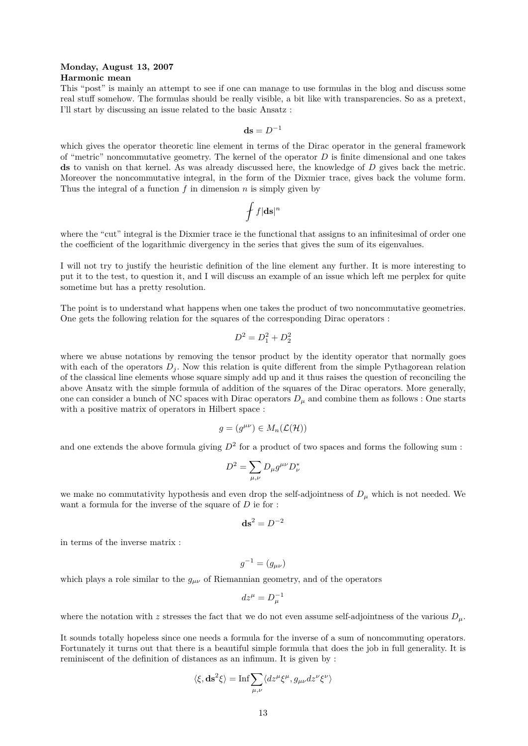#### **Monday, August 13, 2007 Harmonic mean**

This "post" is mainly an attempt to see if one can manage to use formulas in the blog and discuss some real stuff somehow. The formulas should be really visible, a bit like with transparencies. So as a pretext, I'll start by discussing an issue related to the basic Ansatz :

$$
\mathbf{ds} = D^{-1}
$$

which gives the operator theoretic line element in terms of the Dirac operator in the general framework of "metric" noncommutative geometry. The kernel of the operator *D* is finite dimensional and one takes **ds** to vanish on that kernel. As was already discussed here, the knowledge of *D* gives back the metric. Moreover the noncommutative integral, in the form of the Dixmier trace, gives back the volume form. Thus the integral of a function  $f$  in dimension  $n$  is simply given by

$$
\int f|{\rm d} \mathbf{s}|^n
$$

where the "cut" integral is the Dixmier trace ie the functional that assigns to an infinitesimal of order one the coefficient of the logarithmic divergency in the series that gives the sum of its eigenvalues.

I will not try to justify the heuristic definition of the line element any further. It is more interesting to put it to the test, to question it, and I will discuss an example of an issue which left me perplex for quite sometime but has a pretty resolution.

The point is to understand what happens when one takes the product of two noncommutative geometries. One gets the following relation for the squares of the corresponding Dirac operators :

$$
D^2 = D_1^2 + D_2^2
$$

where we abuse notations by removing the tensor product by the identity operator that normally goes with each of the operators  $D_i$ . Now this relation is quite different from the simple Pythagorean relation of the classical line elements whose square simply add up and it thus raises the question of reconciling the above Ansatz with the simple formula of addition of the squares of the Dirac operators. More generally, one can consider a bunch of NC spaces with Dirac operators  $D_{\mu}$  and combine them as follows : One starts with a positive matrix of operators in Hilbert space :

$$
g = (g^{\mu\nu}) \in M_n(\mathcal{L}(\mathcal{H}))
$$

and one extends the above formula giving  $D^2$  for a product of two spaces and forms the following sum :

$$
D^2=\sum_{\mu,\nu}D_\mu g^{\mu\nu}D_\nu^*
$$

we make no commutativity hypothesis and even drop the self-adjointness of  $D<sub>\mu</sub>$  which is not needed. We want a formula for the inverse of the square of *D* ie for :

$$
\mathbf{ds}^2 = D^{-2}
$$

in terms of the inverse matrix :

$$
g^{-1} = (g_{\mu\nu})
$$

which plays a role similar to the  $g_{\mu\nu}$  of Riemannian geometry, and of the operators

$$
dz^{\mu} = D_{\mu}^{-1}
$$

where the notation with *z* stresses the fact that we do not even assume self-adjointness of the various  $D_{\mu}$ .

It sounds totally hopeless since one needs a formula for the inverse of a sum of noncommuting operators. Fortunately it turns out that there is a beautiful simple formula that does the job in full generality. It is reminiscent of the definition of distances as an infimum. It is given by :

$$
\langle \xi, \mathbf{ds}^2 \xi \rangle = \text{Inf} \sum_{\mu, \nu} \langle dz^{\mu} \xi^{\mu}, g_{\mu \nu} dz^{\nu} \xi^{\nu} \rangle
$$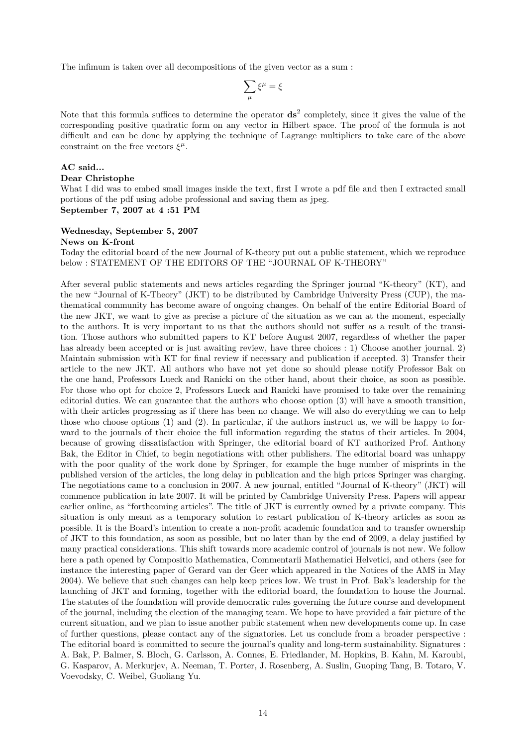The infimum is taken over all decompositions of the given vector as a sum :

$$
\sum_\mu \xi^\mu = \xi
$$

Note that this formula suffices to determine the operator  $ds^2$  completely, since it gives the value of the corresponding positive quadratic form on any vector in Hilbert space. The proof of the formula is not difficult and can be done by applying the technique of Lagrange multipliers to take care of the above constraint on the free vectors  $\xi^{\mu}$ .

#### **AC said... Dear Christophe**

What I did was to embed small images inside the text, first I wrote a pdf file and then I extracted small portions of the pdf using adobe professional and saving them as jpeg. **September 7, 2007 at 4 :51 PM**

## **Wednesday, September 5, 2007 News on K-front**

Today the editorial board of the new Journal of K-theory put out a public statement, which we reproduce below : STATEMENT OF THE EDITORS OF THE "JOURNAL OF K-THEORY"

After several public statements and news articles regarding the Springer journal "K-theory" (KT), and the new "Journal of K-Theory" (JKT) to be distributed by Cambridge University Press (CUP), the mathematical community has become aware of ongoing changes. On behalf of the entire Editorial Board of the new JKT, we want to give as precise a picture of the situation as we can at the moment, especially to the authors. It is very important to us that the authors should not suffer as a result of the transition. Those authors who submitted papers to KT before August 2007, regardless of whether the paper has already been accepted or is just awaiting review, have three choices : 1) Choose another journal. 2) Maintain submission with KT for final review if necessary and publication if accepted. 3) Transfer their article to the new JKT. All authors who have not yet done so should please notify Professor Bak on the one hand, Professors Lueck and Ranicki on the other hand, about their choice, as soon as possible. For those who opt for choice 2, Professors Lueck and Ranicki have promised to take over the remaining editorial duties. We can guarantee that the authors who choose option (3) will have a smooth transition, with their articles progressing as if there has been no change. We will also do everything we can to help those who choose options (1) and (2). In particular, if the authors instruct us, we will be happy to forward to the journals of their choice the full information regarding the status of their articles. In 2004, because of growing dissatisfaction with Springer, the editorial board of KT authorized Prof. Anthony Bak, the Editor in Chief, to begin negotiations with other publishers. The editorial board was unhappy with the poor quality of the work done by Springer, for example the huge number of misprints in the published version of the articles, the long delay in publication and the high prices Springer was charging. The negotiations came to a conclusion in 2007. A new journal, entitled "Journal of K-theory" (JKT) will commence publication in late 2007. It will be printed by Cambridge University Press. Papers will appear earlier online, as "forthcoming articles". The title of JKT is currently owned by a private company. This situation is only meant as a temporary solution to restart publication of K-theory articles as soon as possible. It is the Board's intention to create a non-profit academic foundation and to transfer ownership of JKT to this foundation, as soon as possible, but no later than by the end of 2009, a delay justified by many practical considerations. This shift towards more academic control of journals is not new. We follow here a path opened by Compositio Mathematica, Commentarii Mathematici Helvetici, and others (see for instance the interesting paper of Gerard van der Geer which appeared in the Notices of the AMS in May 2004). We believe that such changes can help keep prices low. We trust in Prof. Bak's leadership for the launching of JKT and forming, together with the editorial board, the foundation to house the Journal. The statutes of the foundation will provide democratic rules governing the future course and development of the journal, including the election of the managing team. We hope to have provided a fair picture of the current situation, and we plan to issue another public statement when new developments come up. In case of further questions, please contact any of the signatories. Let us conclude from a broader perspective : The editorial board is committed to secure the journal's quality and long-term sustainability. Signatures : A. Bak, P. Balmer, S. Bloch, G. Carlsson, A. Connes, E. Friedlander, M. Hopkins, B. Kahn, M. Karoubi, G. Kasparov, A. Merkurjev, A. Neeman, T. Porter, J. Rosenberg, A. Suslin, Guoping Tang, B. Totaro, V. Voevodsky, C. Weibel, Guoliang Yu.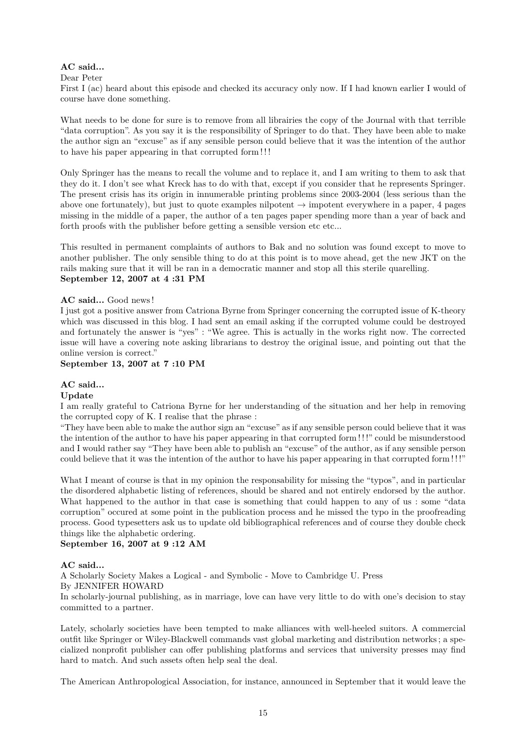# **AC said...**

#### Dear Peter

First I (ac) heard about this episode and checked its accuracy only now. If I had known earlier I would of course have done something.

What needs to be done for sure is to remove from all librairies the copy of the Journal with that terrible "data corruption". As you say it is the responsibility of Springer to do that. They have been able to make the author sign an "excuse" as if any sensible person could believe that it was the intention of the author to have his paper appearing in that corrupted form!!!

Only Springer has the means to recall the volume and to replace it, and I am writing to them to ask that they do it. I don't see what Kreck has to do with that, except if you consider that he represents Springer. The present crisis has its origin in innumerable printing problems since 2003-2004 (less serious than the above one fortunately), but just to quote examples nilpotent  $\rightarrow$  impotent everywhere in a paper, 4 pages missing in the middle of a paper, the author of a ten pages paper spending more than a year of back and forth proofs with the publisher before getting a sensible version etc etc...

This resulted in permanent complaints of authors to Bak and no solution was found except to move to another publisher. The only sensible thing to do at this point is to move ahead, get the new JKT on the rails making sure that it will be ran in a democratic manner and stop all this sterile quarelling. **September 12, 2007 at 4 :31 PM**

## **AC said...** Good news !

I just got a positive answer from Catriona Byrne from Springer concerning the corrupted issue of K-theory which was discussed in this blog. I had sent an email asking if the corrupted volume could be destroyed and fortunately the answer is "yes" : "We agree. This is actually in the works right now. The corrected issue will have a covering note asking librarians to destroy the original issue, and pointing out that the online version is correct."

# **September 13, 2007 at 7 :10 PM**

# **AC said...**

#### **Update**

I am really grateful to Catriona Byrne for her understanding of the situation and her help in removing the corrupted copy of K. I realise that the phrase :

"They have been able to make the author sign an "excuse" as if any sensible person could believe that it was the intention of the author to have his paper appearing in that corrupted form ! ! !" could be misunderstood and I would rather say "They have been able to publish an "excuse" of the author, as if any sensible person could believe that it was the intention of the author to have his paper appearing in that corrupted form ! ! !"

What I meant of course is that in my opinion the responsability for missing the "typos", and in particular the disordered alphabetic listing of references, should be shared and not entirely endorsed by the author. What happened to the author in that case is something that could happen to any of us : some "data corruption" occured at some point in the publication process and he missed the typo in the proofreading process. Good typesetters ask us to update old bibliographical references and of course they double check things like the alphabetic ordering.

# **September 16, 2007 at 9 :12 AM**

# **AC said...**

A Scholarly Society Makes a Logical - and Symbolic - Move to Cambridge U. Press By JENNIFER HOWARD

In scholarly-journal publishing, as in marriage, love can have very little to do with one's decision to stay committed to a partner.

Lately, scholarly societies have been tempted to make alliances with well-heeled suitors. A commercial outfit like Springer or Wiley-Blackwell commands vast global marketing and distribution networks ; a specialized nonprofit publisher can offer publishing platforms and services that university presses may find hard to match. And such assets often help seal the deal.

The American Anthropological Association, for instance, announced in September that it would leave the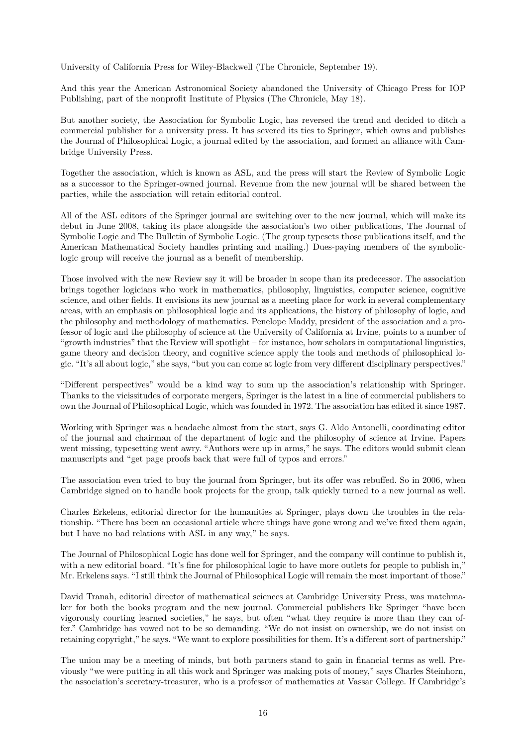University of California Press for Wiley-Blackwell (The Chronicle, September 19).

And this year the American Astronomical Society abandoned the University of Chicago Press for IOP Publishing, part of the nonprofit Institute of Physics (The Chronicle, May 18).

But another society, the Association for Symbolic Logic, has reversed the trend and decided to ditch a commercial publisher for a university press. It has severed its ties to Springer, which owns and publishes the Journal of Philosophical Logic, a journal edited by the association, and formed an alliance with Cambridge University Press.

Together the association, which is known as ASL, and the press will start the Review of Symbolic Logic as a successor to the Springer-owned journal. Revenue from the new journal will be shared between the parties, while the association will retain editorial control.

All of the ASL editors of the Springer journal are switching over to the new journal, which will make its debut in June 2008, taking its place alongside the association's two other publications, The Journal of Symbolic Logic and The Bulletin of Symbolic Logic. (The group typesets those publications itself, and the American Mathematical Society handles printing and mailing.) Dues-paying members of the symboliclogic group will receive the journal as a benefit of membership.

Those involved with the new Review say it will be broader in scope than its predecessor. The association brings together logicians who work in mathematics, philosophy, linguistics, computer science, cognitive science, and other fields. It envisions its new journal as a meeting place for work in several complementary areas, with an emphasis on philosophical logic and its applications, the history of philosophy of logic, and the philosophy and methodology of mathematics. Penelope Maddy, president of the association and a professor of logic and the philosophy of science at the University of California at Irvine, points to a number of "growth industries" that the Review will spotlight – for instance, how scholars in computational linguistics, game theory and decision theory, and cognitive science apply the tools and methods of philosophical logic. "It's all about logic," she says, "but you can come at logic from very different disciplinary perspectives."

"Different perspectives" would be a kind way to sum up the association's relationship with Springer. Thanks to the vicissitudes of corporate mergers, Springer is the latest in a line of commercial publishers to own the Journal of Philosophical Logic, which was founded in 1972. The association has edited it since 1987.

Working with Springer was a headache almost from the start, says G. Aldo Antonelli, coordinating editor of the journal and chairman of the department of logic and the philosophy of science at Irvine. Papers went missing, typesetting went awry. "Authors were up in arms," he says. The editors would submit clean manuscripts and "get page proofs back that were full of typos and errors."

The association even tried to buy the journal from Springer, but its offer was rebuffed. So in 2006, when Cambridge signed on to handle book projects for the group, talk quickly turned to a new journal as well.

Charles Erkelens, editorial director for the humanities at Springer, plays down the troubles in the relationship. "There has been an occasional article where things have gone wrong and we've fixed them again, but I have no bad relations with ASL in any way," he says.

The Journal of Philosophical Logic has done well for Springer, and the company will continue to publish it, with a new editorial board. "It's fine for philosophical logic to have more outlets for people to publish in," Mr. Erkelens says. "I still think the Journal of Philosophical Logic will remain the most important of those."

David Tranah, editorial director of mathematical sciences at Cambridge University Press, was matchmaker for both the books program and the new journal. Commercial publishers like Springer "have been vigorously courting learned societies," he says, but often "what they require is more than they can offer." Cambridge has vowed not to be so demanding. "We do not insist on ownership, we do not insist on retaining copyright," he says. "We want to explore possibilities for them. It's a different sort of partnership."

The union may be a meeting of minds, but both partners stand to gain in financial terms as well. Previously "we were putting in all this work and Springer was making pots of money," says Charles Steinhorn, the association's secretary-treasurer, who is a professor of mathematics at Vassar College. If Cambridge's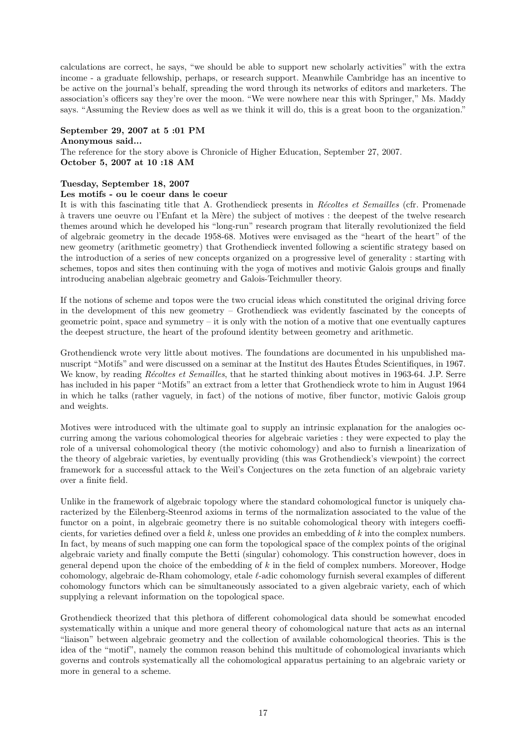calculations are correct, he says, "we should be able to support new scholarly activities" with the extra income - a graduate fellowship, perhaps, or research support. Meanwhile Cambridge has an incentive to be active on the journal's behalf, spreading the word through its networks of editors and marketers. The association's officers say they're over the moon. "We were nowhere near this with Springer," Ms. Maddy says. "Assuming the Review does as well as we think it will do, this is a great boon to the organization."

# **September 29, 2007 at 5 :01 PM**

#### **Anonymous said...**

The reference for the story above is Chronicle of Higher Education, September 27, 2007. **October 5, 2007 at 10 :18 AM**

#### **Tuesday, September 18, 2007**

## **Les motifs - ou le coeur dans le coeur**

It is with this fascinating title that A. Grothendieck presents in *Récoltes et Semailles* (cfr. Promenade à travers une oeuvre ou l'Enfant et la Mère) the subject of motives : the deepest of the twelve research themes around which he developed his "long-run" research program that literally revolutionized the field of algebraic geometry in the decade 1958-68. Motives were envisaged as the "heart of the heart" of the new geometry (arithmetic geometry) that Grothendieck invented following a scientific strategy based on the introduction of a series of new concepts organized on a progressive level of generality : starting with schemes, topos and sites then continuing with the yoga of motives and motivic Galois groups and finally introducing anabelian algebraic geometry and Galois-Teichmuller theory.

If the notions of scheme and topos were the two crucial ideas which constituted the original driving force in the development of this new geometry – Grothendieck was evidently fascinated by the concepts of geometric point, space and symmetry – it is only with the notion of a motive that one eventually captures the deepest structure, the heart of the profound identity between geometry and arithmetic.

Grothendienck wrote very little about motives. The foundations are documented in his unpublished manuscript "Motifs" and were discussed on a seminar at the Institut des Hautes Études Scientifiques, in 1967. We know, by reading *Récoltes et Semailles*, that he started thinking about motives in 1963-64. J.P. Serre has included in his paper "Motifs" an extract from a letter that Grothendieck wrote to him in August 1964 in which he talks (rather vaguely, in fact) of the notions of motive, fiber functor, motivic Galois group and weights.

Motives were introduced with the ultimate goal to supply an intrinsic explanation for the analogies occurring among the various cohomological theories for algebraic varieties : they were expected to play the role of a universal cohomological theory (the motivic cohomology) and also to furnish a linearization of the theory of algebraic varieties, by eventually providing (this was Grothendieck's viewpoint) the correct framework for a successful attack to the Weil's Conjectures on the zeta function of an algebraic variety over a finite field.

Unlike in the framework of algebraic topology where the standard cohomological functor is uniquely characterized by the Eilenberg-Steenrod axioms in terms of the normalization associated to the value of the functor on a point, in algebraic geometry there is no suitable cohomological theory with integers coefficients, for varieties defined over a field *k*, unless one provides an embedding of *k* into the complex numbers. In fact, by means of such mapping one can form the topological space of the complex points of the original algebraic variety and finally compute the Betti (singular) cohomology. This construction however, does in general depend upon the choice of the embedding of *k* in the field of complex numbers. Moreover, Hodge cohomology, algebraic de-Rham cohomology, etale *`*-adic cohomology furnish several examples of different cohomology functors which can be simultaneously associated to a given algebraic variety, each of which supplying a relevant information on the topological space.

Grothendieck theorized that this plethora of different cohomological data should be somewhat encoded systematically within a unique and more general theory of cohomological nature that acts as an internal "liaison" between algebraic geometry and the collection of available cohomological theories. This is the idea of the "motif", namely the common reason behind this multitude of cohomological invariants which governs and controls systematically all the cohomological apparatus pertaining to an algebraic variety or more in general to a scheme.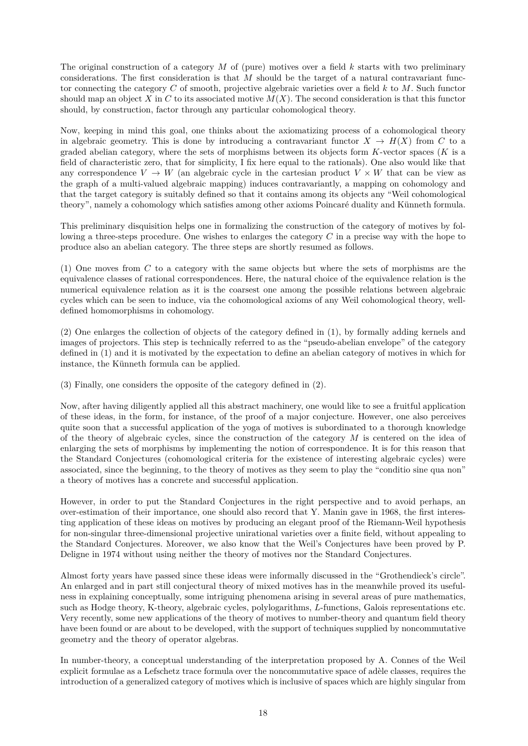The original construction of a category *M* of (pure) motives over a field *k* starts with two preliminary considerations. The first consideration is that *M* should be the target of a natural contravariant functor connecting the category *C* of smooth, projective algebraic varieties over a field *k* to *M*. Such functor should map an object *X* in *C* to its associated motive  $M(X)$ . The second consideration is that this functor should, by construction, factor through any particular cohomological theory.

Now, keeping in mind this goal, one thinks about the axiomatizing process of a cohomological theory in algebraic geometry. This is done by introducing a contravariant functor  $X \to H(X)$  from C to a graded abelian category, where the sets of morphisms between its objects form *K*-vector spaces (*K* is a field of characteristic zero, that for simplicity, I fix here equal to the rationals). One also would like that any correspondence  $V \to W$  (an algebraic cycle in the cartesian product  $V \times W$  that can be view as the graph of a multi-valued algebraic mapping) induces contravariantly, a mapping on cohomology and that the target category is suitably defined so that it contains among its objects any "Weil cohomological theory", namely a cohomology which satisfies among other axioms Poincaré duality and Künneth formula.

This preliminary disquisition helps one in formalizing the construction of the category of motives by following a three-steps procedure. One wishes to enlarges the category *C* in a precise way with the hope to produce also an abelian category. The three steps are shortly resumed as follows.

(1) One moves from *C* to a category with the same objects but where the sets of morphisms are the equivalence classes of rational correspondences. Here, the natural choice of the equivalence relation is the numerical equivalence relation as it is the coarsest one among the possible relations between algebraic cycles which can be seen to induce, via the cohomological axioms of any Weil cohomological theory, welldefined homomorphisms in cohomology.

(2) One enlarges the collection of objects of the category defined in (1), by formally adding kernels and images of projectors. This step is technically referred to as the "pseudo-abelian envelope" of the category defined in (1) and it is motivated by the expectation to define an abelian category of motives in which for instance, the Künneth formula can be applied.

(3) Finally, one considers the opposite of the category defined in (2).

Now, after having diligently applied all this abstract machinery, one would like to see a fruitful application of these ideas, in the form, for instance, of the proof of a major conjecture. However, one also perceives quite soon that a successful application of the yoga of motives is subordinated to a thorough knowledge of the theory of algebraic cycles, since the construction of the category *M* is centered on the idea of enlarging the sets of morphisms by implementing the notion of correspondence. It is for this reason that the Standard Conjectures (cohomological criteria for the existence of interesting algebraic cycles) were associated, since the beginning, to the theory of motives as they seem to play the "conditio sine qua non" a theory of motives has a concrete and successful application.

However, in order to put the Standard Conjectures in the right perspective and to avoid perhaps, an over-estimation of their importance, one should also record that Y. Manin gave in 1968, the first interesting application of these ideas on motives by producing an elegant proof of the Riemann-Weil hypothesis for non-singular three-dimensional projective unirational varieties over a finite field, without appealing to the Standard Conjectures. Moreover, we also know that the Weil's Conjectures have been proved by P. Deligne in 1974 without using neither the theory of motives nor the Standard Conjectures.

Almost forty years have passed since these ideas were informally discussed in the "Grothendieck's circle". An enlarged and in part still conjectural theory of mixed motives has in the meanwhile proved its usefulness in explaining conceptually, some intriguing phenomena arising in several areas of pure mathematics, such as Hodge theory, K-theory, algebraic cycles, polylogarithms, *L*-functions, Galois representations etc. Very recently, some new applications of the theory of motives to number-theory and quantum field theory have been found or are about to be developed, with the support of techniques supplied by noncommutative geometry and the theory of operator algebras.

In number-theory, a conceptual understanding of the interpretation proposed by A. Connes of the Weil explicit formulae as a Lefschetz trace formula over the noncommutative space of adèle classes, requires the introduction of a generalized category of motives which is inclusive of spaces which are highly singular from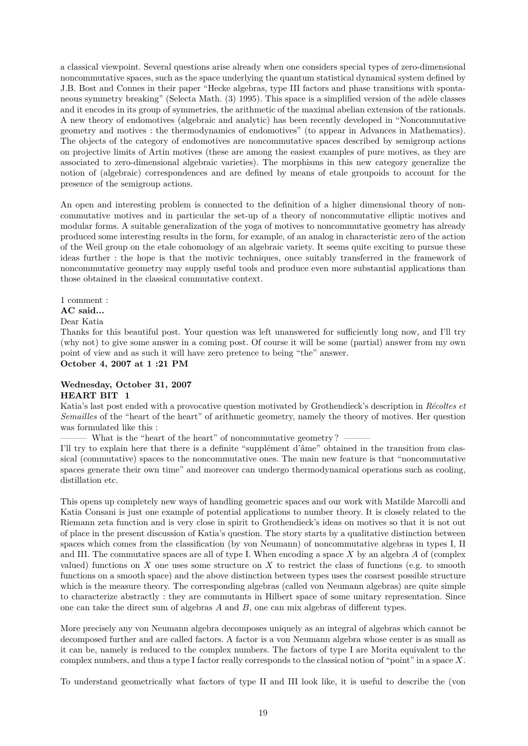a classical viewpoint. Several questions arise already when one considers special types of zero-dimensional noncommutative spaces, such as the space underlying the quantum statistical dynamical system defined by J.B. Bost and Connes in their paper "Hecke algebras, type III factors and phase transitions with spontaneous symmetry breaking" (Selecta Math. (3) 1995). This space is a simplified version of the adèle classes and it encodes in its group of symmetries, the arithmetic of the maximal abelian extension of the rationals. A new theory of endomotives (algebraic and analytic) has been recently developed in "Noncommutative geometry and motives : the thermodynamics of endomotives" (to appear in Advances in Mathematics). The objects of the category of endomotives are noncommutative spaces described by semigroup actions on projective limits of Artin motives (these are among the easiest examples of pure motives, as they are associated to zero-dimensional algebraic varieties). The morphisms in this new category generalize the notion of (algebraic) correspondences and are defined by means of etale groupoids to account for the presence of the semigroup actions.

An open and interesting problem is connected to the definition of a higher dimensional theory of noncommutative motives and in particular the set-up of a theory of noncommutative elliptic motives and modular forms. A suitable generalization of the yoga of motives to noncommutative geometry has already produced some interesting results in the form, for example, of an analog in characteristic zero of the action of the Weil group on the etale cohomology of an algebraic variety. It seems quite exciting to pursue these ideas further : the hope is that the motivic techniques, once suitably transferred in the framework of noncommutative geometry may supply useful tools and produce even more substantial applications than those obtained in the classical commutative context.

1 comment :

# **AC said...**

#### Dear Katia

Thanks for this beautiful post. Your question was left unanswered for sufficiently long now, and I'll try (why not) to give some answer in a coming post. Of course it will be some (partial) answer from my own point of view and as such it will have zero pretence to being "the" answer.

# **October 4, 2007 at 1 :21 PM**

## **Wednesday, October 31, 2007 HEART BIT 1**

Katia's last post ended with a provocative question motivated by Grothendieck's description in *Récoltes et Semailles* of the "heart of the heart" of arithmetic geometry, namely the theory of motives. Her question was formulated like this :

- What is the "heart of the heart" of noncommutative geometry?

I'll try to explain here that there is a definite "supplément d'âme" obtained in the transition from classical (commutative) spaces to the noncommutative ones. The main new feature is that "noncommutative spaces generate their own time" and moreover can undergo thermodynamical operations such as cooling, distillation etc.

This opens up completely new ways of handling geometric spaces and our work with Matilde Marcolli and Katia Consani is just one example of potential applications to number theory. It is closely related to the Riemann zeta function and is very close in spirit to Grothendieck's ideas on motives so that it is not out of place in the present discussion of Katia's question. The story starts by a qualitative distinction between spaces which comes from the classification (by von Neumann) of noncommutative algebras in types I, II and III. The commutative spaces are all of type I. When encoding a space *X* by an algebra *A* of (complex valued) functions on *X* one uses some structure on *X* to restrict the class of functions (e.g. to smooth functions on a smooth space) and the above distinction between types uses the coarsest possible structure which is the measure theory. The corresponding algebras (called von Neumann algebras) are quite simple to characterize abstractly : they are commutants in Hilbert space of some unitary representation. Since one can take the direct sum of algebras *A* and *B*, one can mix algebras of different types.

More precisely any von Neumann algebra decomposes uniquely as an integral of algebras which cannot be decomposed further and are called factors. A factor is a von Neumann algebra whose center is as small as it can be, namely is reduced to the complex numbers. The factors of type I are Morita equivalent to the complex numbers, and thus a type I factor really corresponds to the classical notion of "point" in a space *X*.

To understand geometrically what factors of type II and III look like, it is useful to describe the (von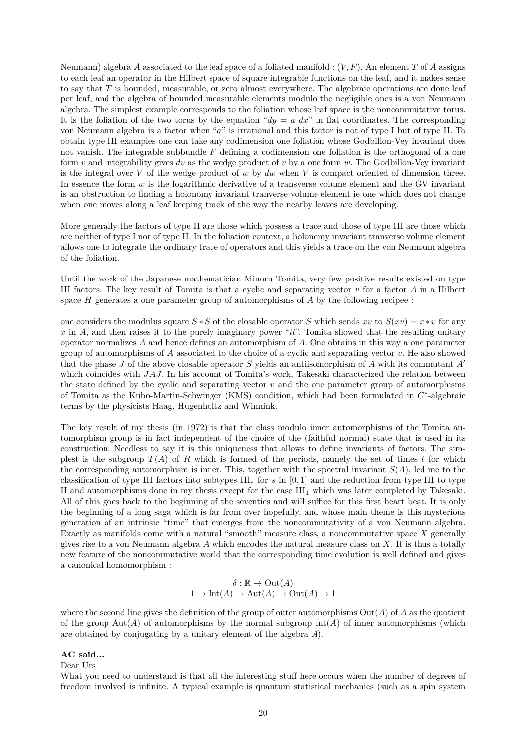Neumann) algebra *A* associated to the leaf space of a foliated manifold : (*V, F*). An element *T* of *A* assigns to each leaf an operator in the Hilbert space of square integrable functions on the leaf, and it makes sense to say that *T* is bounded, measurable, or zero almost everywhere. The algebraic operations are done leaf per leaf, and the algebra of bounded measurable elements modulo the negligible ones is a von Neumann algebra. The simplest example corresponds to the foliation whose leaf space is the noncommutative torus. It is the foliation of the two torus by the equation " $dy = a dx$ " in flat coordinates. The corresponding von Neumann algebra is a factor when "*a*" is irrational and this factor is not of type I but of type II. To obtain type III examples one can take any codimension one foliation whose Godbillon-Vey invariant does not vanish. The integrable subbundle *F* defining a codimension one foliation is the orthogonal of a one form *v* and integrability gives *dv* as the wedge product of *v* by a one form *w*. The Godbillon-Vey invariant is the integral over *V* of the wedge product of *w* by *dw* when *V* is compact oriented of dimension three. In essence the form *w* is the logarithmic derivative of a transverse volume element and the GV invariant is an obstruction to finding a holonomy invariant tranverse volume element ie one which does not change when one moves along a leaf keeping track of the way the nearby leaves are developing.

More generally the factors of type II are those which possess a trace and those of type III are those which are neither of type I nor of type II. In the foliation context, a holonomy invariant tranverse volume element allows one to integrate the ordinary trace of operators and this yields a trace on the von Neumann algebra of the foliation.

Until the work of the Japanese mathematician Minoru Tomita, very few positive results existed on type III factors. The key result of Tomita is that a cyclic and separating vector  $v$  for a factor  $A$  in a Hilbert space *H* generates a one parameter group of automorphisms of *A* by the following recipee :

one considers the modulus square  $S * S$  of the closable operator *S* which sends *xv* to  $S(xv) = x * v$  for any *x* in *A*, and then raises it to the purely imaginary power "*it*". Tomita showed that the resulting unitary operator normalizes *A* and hence defines an automorphism of *A*. One obtains in this way a one parameter group of automorphisms of *A* associated to the choice of a cyclic and separating vector *v*. He also showed that the phase *J* of the above closable operator *S* yields an antiisomorphism of *A* with its commutant *A*<sup>0</sup> which coincides with *JAJ*. In his account of Tomita's work, Takesaki characterized the relation between the state defined by the cyclic and separating vector  $v$  and the one parameter group of automorphisms of Tomita as the Kubo-Martin-Schwinger (KMS) condition, which had been formulated in  $C^*$ -algebraic terms by the physicists Haag, Hugenholtz and Winnink.

The key result of my thesis (in 1972) is that the class modulo inner automorphisms of the Tomita automorphism group is in fact independent of the choice of the (faithful normal) state that is used in its construction. Needless to say it is this uniqueness that allows to define invariants of factors. The simplest is the subgroup  $T(A)$  of  $R$  which is formed of the periods, namely the set of times  $t$  for which the corresponding automorphism is inner. This, together with the spectral invariant  $S(A)$ , led me to the classification of type III factors into subtypes III*<sup>s</sup>* for *s* in [0*,* 1] and the reduction from type III to type II and automorphisms done in my thesis except for the case III<sup>1</sup> which was later completed by Takesaki. All of this goes back to the beginning of the seventies and will suffice for this first heart beat. It is only the beginning of a long saga which is far from over hopefully, and whose main theme is this mysterious generation of an intrinsic "time" that emerges from the noncommutativity of a von Neumann algebra. Exactly as manifolds come with a natural "smooth" measure class, a noncommutative space *X* generally gives rise to a von Neumann algebra *A* which encodes the natural measure class on *X*. It is thus a totally new feature of the noncommutative world that the corresponding time evolution is well defined and gives a canonical homomorphism :

$$
\delta : \mathbb{R} \to \text{Out}(A)
$$

$$
1 \to \text{Int}(A) \to \text{Aut}(A) \to \text{Out}(A) \to 1
$$

where the second line gives the definition of the group of outer automorphisms  $Out(A)$  of A as the quotient of the group  $\text{Aut}(A)$  of automorphisms by the normal subgroup  $\text{Int}(A)$  of inner automorphisms (which are obtained by conjugating by a unitary element of the algebra *A*).

# **AC said...**

#### Dear Urs

What you need to understand is that all the interesting stuff here occurs when the number of degrees of freedom involved is infinite. A typical example is quantum statistical mechanics (such as a spin system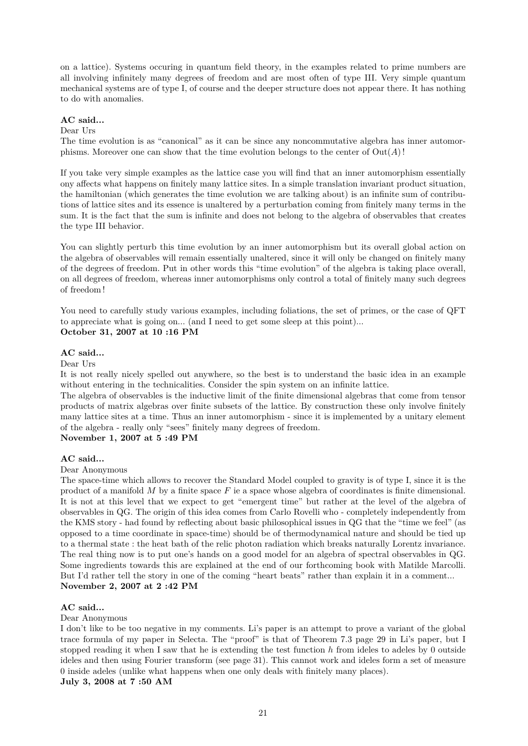on a lattice). Systems occuring in quantum field theory, in the examples related to prime numbers are all involving infinitely many degrees of freedom and are most often of type III. Very simple quantum mechanical systems are of type I, of course and the deeper structure does not appear there. It has nothing to do with anomalies.

#### **AC said...**

Dear Urs

The time evolution is as "canonical" as it can be since any noncommutative algebra has inner automorphisms. Moreover one can show that the time evolution belongs to the center of  $Out(A)$ !

If you take very simple examples as the lattice case you will find that an inner automorphism essentially ony affects what happens on finitely many lattice sites. In a simple translation invariant product situation, the hamiltonian (which generates the time evolution we are talking about) is an infinite sum of contributions of lattice sites and its essence is unaltered by a perturbation coming from finitely many terms in the sum. It is the fact that the sum is infinite and does not belong to the algebra of observables that creates the type III behavior.

You can slightly perturb this time evolution by an inner automorphism but its overall global action on the algebra of observables will remain essentially unaltered, since it will only be changed on finitely many of the degrees of freedom. Put in other words this "time evolution" of the algebra is taking place overall, on all degrees of freedom, whereas inner automorphisms only control a total of finitely many such degrees of freedom !

You need to carefully study various examples, including foliations, the set of primes, or the case of QFT to appreciate what is going on... (and I need to get some sleep at this point)... **October 31, 2007 at 10 :16 PM**

## **AC said...**

Dear Urs

It is not really nicely spelled out anywhere, so the best is to understand the basic idea in an example without entering in the technicalities. Consider the spin system on an infinite lattice.

The algebra of observables is the inductive limit of the finite dimensional algebras that come from tensor products of matrix algebras over finite subsets of the lattice. By construction these only involve finitely many lattice sites at a time. Thus an inner automorphism - since it is implemented by a unitary element of the algebra - really only "sees" finitely many degrees of freedom.

# **November 1, 2007 at 5 :49 PM**

## **AC said...**

Dear Anonymous

The space-time which allows to recover the Standard Model coupled to gravity is of type I, since it is the product of a manifold *M* by a finite space *F* ie a space whose algebra of coordinates is finite dimensional. It is not at this level that we expect to get "emergent time" but rather at the level of the algebra of observables in QG. The origin of this idea comes from Carlo Rovelli who - completely independently from the KMS story - had found by reflecting about basic philosophical issues in QG that the "time we feel" (as opposed to a time coordinate in space-time) should be of thermodynamical nature and should be tied up to a thermal state : the heat bath of the relic photon radiation which breaks naturally Lorentz invariance. The real thing now is to put one's hands on a good model for an algebra of spectral observables in QG. Some ingredients towards this are explained at the end of our forthcoming book with Matilde Marcolli. But I'd rather tell the story in one of the coming "heart beats" rather than explain it in a comment... **November 2, 2007 at 2 :42 PM**

## **AC said...**

Dear Anonymous

I don't like to be too negative in my comments. Li's paper is an attempt to prove a variant of the global trace formula of my paper in Selecta. The "proof" is that of Theorem 7.3 page 29 in Li's paper, but I stopped reading it when I saw that he is extending the test function *h* from ideles to adeles by 0 outside ideles and then using Fourier transform (see page 31). This cannot work and ideles form a set of measure 0 inside adeles (unlike what happens when one only deals with finitely many places). **July 3, 2008 at 7 :50 AM**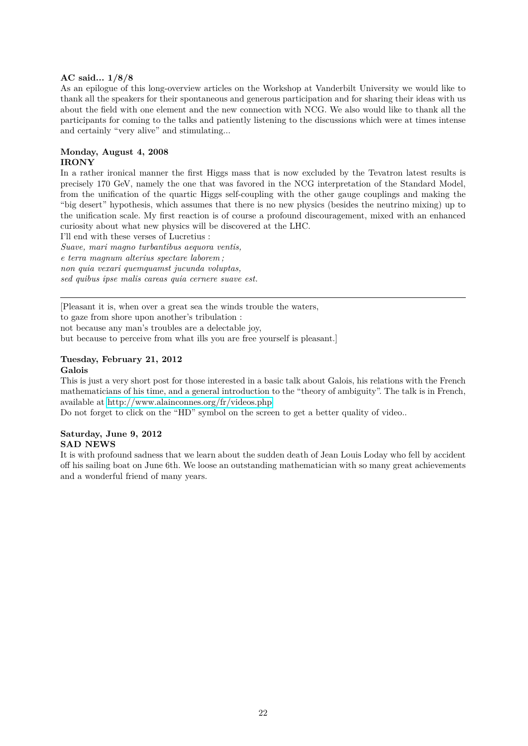# **AC said... 1/8/8**

As an epilogue of this long-overview articles on the Workshop at Vanderbilt University we would like to thank all the speakers for their spontaneous and generous participation and for sharing their ideas with us about the field with one element and the new connection with NCG. We also would like to thank all the participants for coming to the talks and patiently listening to the discussions which were at times intense and certainly "very alive" and stimulating...

#### **Monday, August 4, 2008 IRONY**

In a rather ironical manner the first Higgs mass that is now excluded by the Tevatron latest results is precisely 170 GeV, namely the one that was favored in the NCG interpretation of the Standard Model, from the unification of the quartic Higgs self-coupling with the other gauge couplings and making the "big desert" hypothesis, which assumes that there is no new physics (besides the neutrino mixing) up to the unification scale. My first reaction is of course a profound discouragement, mixed with an enhanced curiosity about what new physics will be discovered at the LHC.

I'll end with these verses of Lucretius :

*Suave, mari magno turbantibus aequora ventis, e terra magnum alterius spectare laborem ;*

*non quia vexari quemquamst jucunda voluptas,*

*sed quibus ipse malis careas quia cernere suave est.*

[Pleasant it is, when over a great sea the winds trouble the waters, to gaze from shore upon another's tribulation : not because any man's troubles are a delectable joy,

but because to perceive from what ills you are free yourself is pleasant.]

# **Tuesday, February 21, 2012**

## **Galois**

This is just a very short post for those interested in a basic talk about Galois, his relations with the French mathematicians of his time, and a general introduction to the "theory of ambiguity". The talk is in French, available at<http://www.alainconnes.org/fr/videos.php>

Do not forget to click on the "HD" symbol on the screen to get a better quality of video..

# **Saturday, June 9, 2012 SAD NEWS**

It is with profound sadness that we learn about the sudden death of Jean Louis Loday who fell by accident off his sailing boat on June 6th. We loose an outstanding mathematician with so many great achievements and a wonderful friend of many years.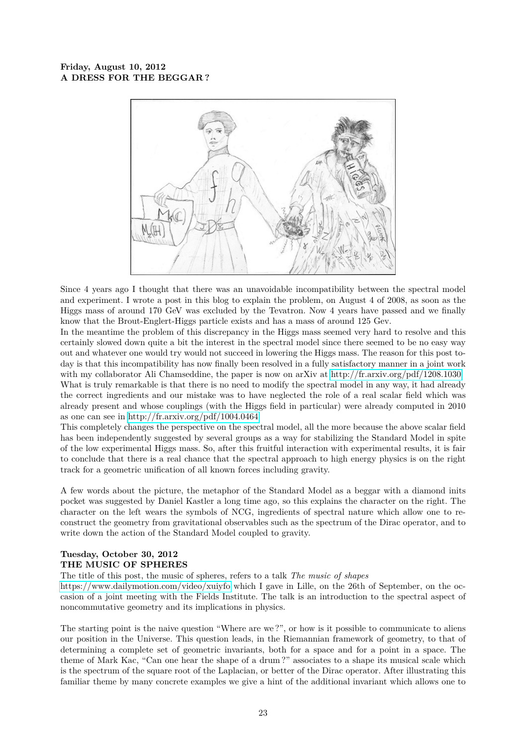

Since 4 years ago I thought that there was an unavoidable incompatibility between the spectral model and experiment. I wrote a post in this blog to explain the problem, on August 4 of 2008, as soon as the Higgs mass of around 170 GeV was excluded by the Tevatron. Now 4 years have passed and we finally know that the Brout-Englert-Higgs particle exists and has a mass of around 125 Gev.

In the meantime the problem of this discrepancy in the Higgs mass seemed very hard to resolve and this certainly slowed down quite a bit the interest in the spectral model since there seemed to be no easy way out and whatever one would try would not succeed in lowering the Higgs mass. The reason for this post today is that this incompatibility has now finally been resolved in a fully satisfactory manner in a joint work with my collaborator Ali Chamseddine, the paper is now on arXiv at<http://fr.arxiv.org/pdf/1208.1030> What is truly remarkable is that there is no need to modify the spectral model in any way, it had already the correct ingredients and our mistake was to have neglected the role of a real scalar field which was already present and whose couplings (with the Higgs field in particular) were already computed in 2010 as one can see in<http://fr.arxiv.org/pdf/1004.0464>

This completely changes the perspective on the spectral model, all the more because the above scalar field has been independently suggested by several groups as a way for stabilizing the Standard Model in spite of the low experimental Higgs mass. So, after this fruitful interaction with experimental results, it is fair to conclude that there is a real chance that the spectral approach to high energy physics is on the right track for a geometric unification of all known forces including gravity.

A few words about the picture, the metaphor of the Standard Model as a beggar with a diamond inits pocket was suggested by Daniel Kastler a long time ago, so this explains the character on the right. The character on the left wears the symbols of NCG, ingredients of spectral nature which allow one to reconstruct the geometry from gravitational observables such as the spectrum of the Dirac operator, and to write down the action of the Standard Model coupled to gravity.

# **Tuesday, October 30, 2012 THE MUSIC OF SPHERES**

The title of this post, the music of spheres, refers to a talk *The music of shapes*

<https://www.dailymotion.com/video/xuiyfo> which I gave in Lille, on the 26th of September, on the occasion of a joint meeting with the Fields Institute. The talk is an introduction to the spectral aspect of noncommutative geometry and its implications in physics.

The starting point is the naive question "Where are we ?", or how is it possible to communicate to aliens our position in the Universe. This question leads, in the Riemannian framework of geometry, to that of determining a complete set of geometric invariants, both for a space and for a point in a space. The theme of Mark Kac, "Can one hear the shape of a drum ?" associates to a shape its musical scale which is the spectrum of the square root of the Laplacian, or better of the Dirac operator. After illustrating this familiar theme by many concrete examples we give a hint of the additional invariant which allows one to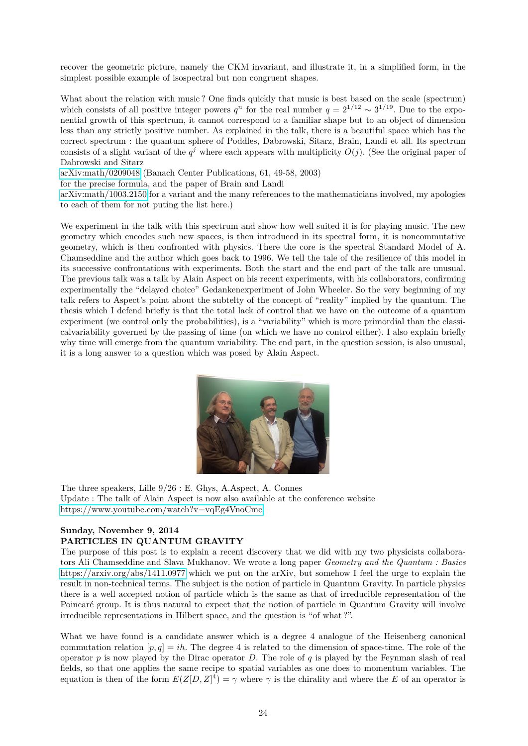recover the geometric picture, namely the CKM invariant, and illustrate it, in a simplified form, in the simplest possible example of isospectral but non congruent shapes.

What about the relation with music ? One finds quickly that music is best based on the scale (spectrum) which consists of all positive integer powers  $q^n$  for the real number  $q = 2^{1/12} \sim 3^{1/19}$ . Due to the exponential growth of this spectrum, it cannot correspond to a familiar shape but to an object of dimension less than any strictly positive number. As explained in the talk, there is a beautiful space which has the correct spectrum : the quantum sphere of Poddles, Dabrowski, Sitarz, Brain, Landi et all. Its spectrum consists of a slight variant of the  $q<sup>j</sup>$  where each appears with multiplicity  $O(j)$ . (See the original paper of Dabrowski and Sitarz

<arXiv:math/0209048> (Banach Center Publications, 61, 49-58, 2003)

for the precise formula, and the paper of Brain and Landi

<arXiv:math/1003.2150> for a variant and the many references to the mathematicians involved, my apologies to each of them for not puting the list here.)

We experiment in the talk with this spectrum and show how well suited it is for playing music. The new geometry which encodes such new spaces, is then introduced in its spectral form, it is noncommutative geometry, which is then confronted with physics. There the core is the spectral Standard Model of A. Chamseddine and the author which goes back to 1996. We tell the tale of the resilience of this model in its successive confrontations with experiments. Both the start and the end part of the talk are unusual. The previous talk was a talk by Alain Aspect on his recent experiments, with his collaborators, confirming experimentally the "delayed choice" Gedankenexperiment of John Wheeler. So the very beginning of my talk refers to Aspect's point about the subtelty of the concept of "reality" implied by the quantum. The thesis which I defend briefly is that the total lack of control that we have on the outcome of a quantum experiment (we control only the probabilities), is a "variability" which is more primordial than the classicalvariability governed by the passing of time (on which we have no control either). I also explain briefly why time will emerge from the quantum variability. The end part, in the question session, is also unusual, it is a long answer to a question which was posed by Alain Aspect.



The three speakers, Lille 9/26 : E. Ghys, A.Aspect, A. Connes Update : The talk of Alain Aspect is now also available at the conference website [https://www.youtube.com/watch?v=vqEg4VnoCmc.](https://www.youtube.com/watch?v=vqEg4VnoCmc)

# **Sunday, November 9, 2014**

# **PARTICLES IN QUANTUM GRAVITY**

The purpose of this post is to explain a recent discovery that we did with my two physicists collaborators Ali Chamseddine and Slava Mukhanov. We wrote a long paper *Geometry and the Quantum : Basics* <https://arxiv.org/abs/1411.0977> which we put on the arXiv, but somehow I feel the urge to explain the result in non-technical terms. The subject is the notion of particle in Quantum Gravity. In particle physics there is a well accepted notion of particle which is the same as that of irreducible representation of the Poincaré group. It is thus natural to expect that the notion of particle in Quantum Gravity will involve irreducible representations in Hilbert space, and the question is "of what ?".

What we have found is a candidate answer which is a degree 4 analogue of the Heisenberg canonical commutation relation  $[p, q] = ih$ . The degree 4 is related to the dimension of space-time. The role of the operator  $p$  is now played by the Dirac operator  $D$ . The role of  $q$  is played by the Feynman slash of real fields, so that one applies the same recipe to spatial variables as one does to momentum variables. The equation is then of the form  $E(Z|D, Z|^4) = \gamma$  where  $\gamma$  is the chirality and where the *E* of an operator is